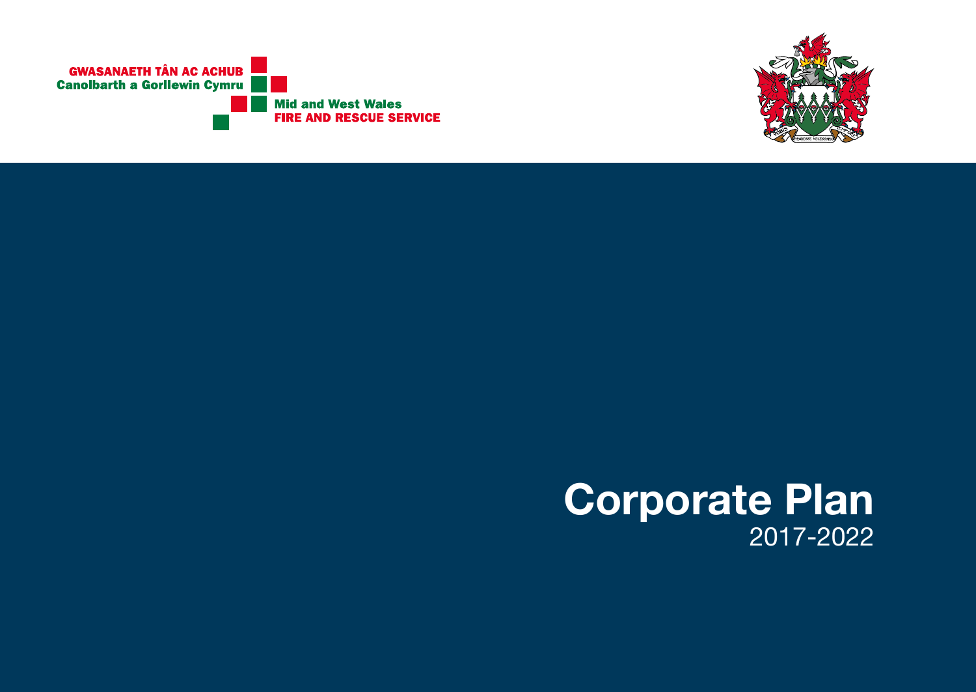



# **Corporate Plan**  2017-2022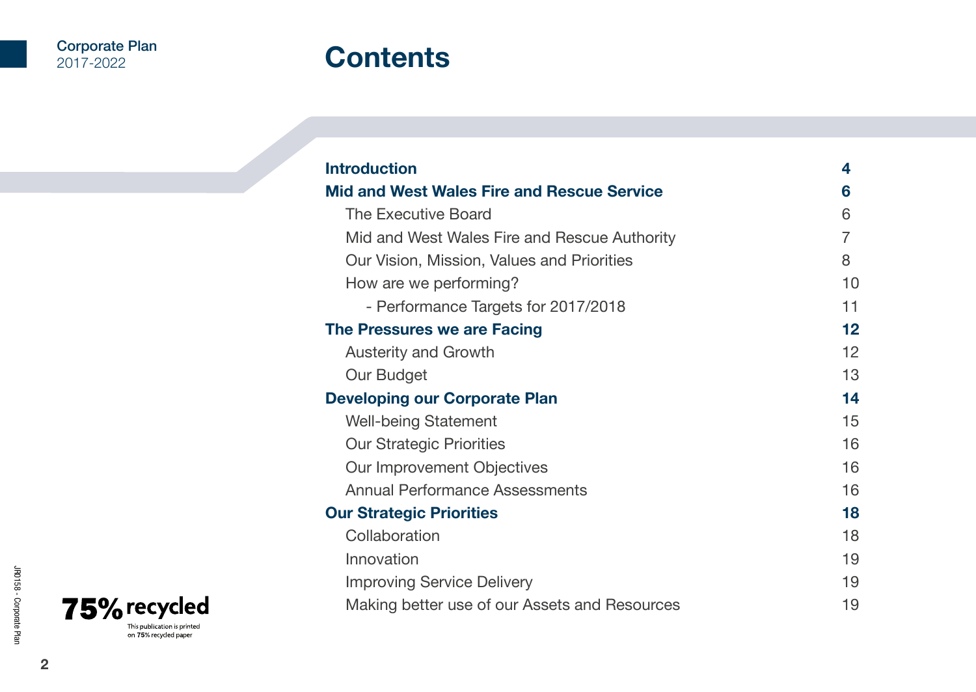# **Contents**

| <b>Introduction</b>                               | 4                 |
|---------------------------------------------------|-------------------|
| <b>Mid and West Wales Fire and Rescue Service</b> | 6                 |
| The Executive Board                               | 6                 |
| Mid and West Wales Fire and Rescue Authority      | 7                 |
| Our Vision, Mission, Values and Priorities        | 8                 |
| How are we performing?                            | 10                |
| - Performance Targets for 2017/2018               | 11                |
| The Pressures we are Facing                       | 12                |
| <b>Austerity and Growth</b>                       | $12 \overline{ }$ |
| Our Budget                                        | 13                |
| <b>Developing our Corporate Plan</b>              | 14                |
| <b>Well-being Statement</b>                       | 15                |
| <b>Our Strategic Priorities</b>                   | 16                |
| Our Improvement Objectives                        | 16                |
| Annual Performance Assessments                    | 16                |
| <b>Our Strategic Priorities</b>                   | 18                |
| Collaboration                                     | 18                |
| Innovation                                        | 19                |
| <b>Improving Service Delivery</b>                 | 19                |
| Making better use of our Assets and Resources     | 19                |

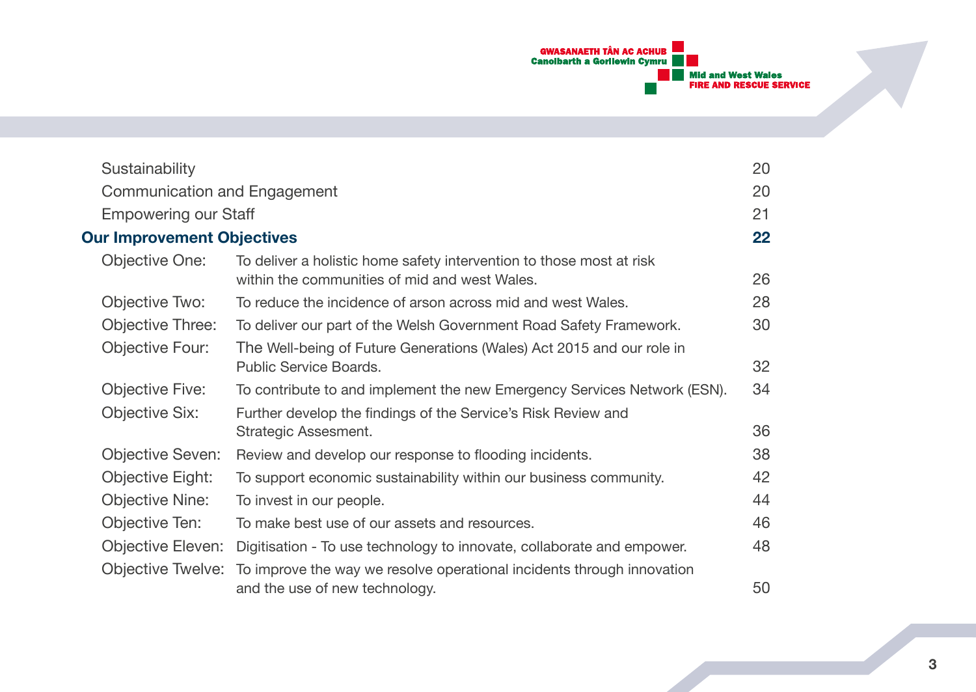

| Sustainability                    |                                                                                                                       | 20 |
|-----------------------------------|-----------------------------------------------------------------------------------------------------------------------|----|
| Communication and Engagement      |                                                                                                                       | 20 |
| <b>Empowering our Staff</b>       |                                                                                                                       | 21 |
| <b>Our Improvement Objectives</b> |                                                                                                                       | 22 |
| Objective One:                    | To deliver a holistic home safety intervention to those most at risk<br>within the communities of mid and west Wales. | 26 |
| Objective Two:                    | To reduce the incidence of arson across mid and west Wales.                                                           | 28 |
| Objective Three:                  | To deliver our part of the Welsh Government Road Safety Framework.                                                    | 30 |
| Objective Four:                   | The Well-being of Future Generations (Wales) Act 2015 and our role in<br>Public Service Boards.                       | 32 |
| Objective Five:                   | To contribute to and implement the new Emergency Services Network (ESN).                                              | 34 |
| Objective Six:                    | Further develop the findings of the Service's Risk Review and<br>Strategic Assesment.                                 | 36 |
| <b>Objective Seven:</b>           | Review and develop our response to flooding incidents.                                                                | 38 |
| Objective Eight:                  | To support economic sustainability within our business community.                                                     | 42 |
| <b>Objective Nine:</b>            | To invest in our people.                                                                                              | 44 |
| Objective Ten:                    | To make best use of our assets and resources.                                                                         | 46 |
| Objective Eleven:                 | Digitisation - To use technology to innovate, collaborate and empower.                                                | 48 |
| Objective Twelve:                 | To improve the way we resolve operational incidents through innovation<br>and the use of new technology.              | 50 |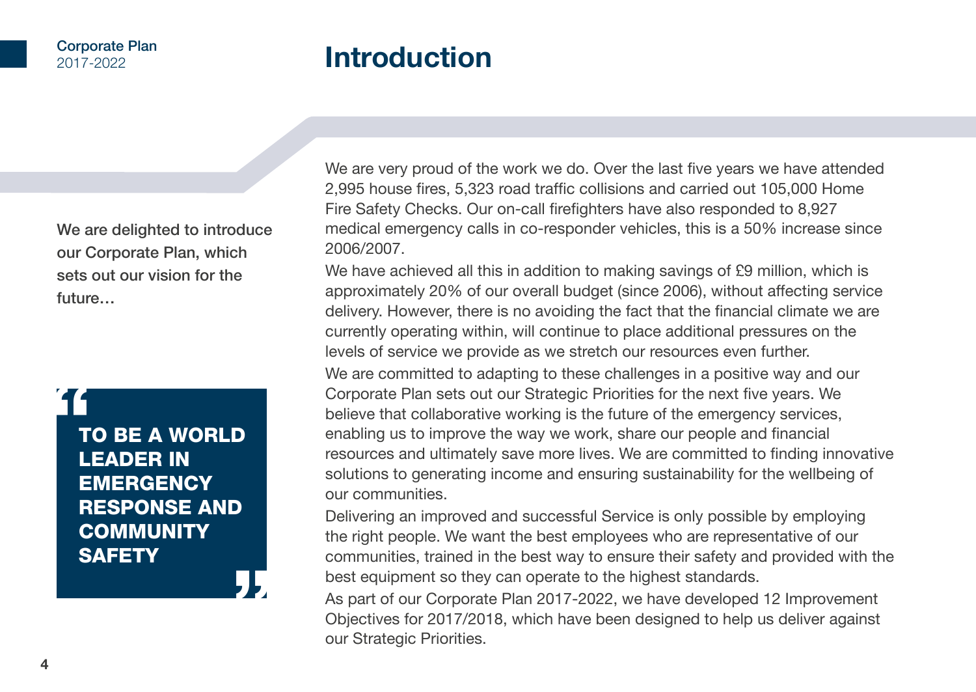# **Introduction**

We are delighted to introduce our Corporate Plan, which sets out our vision for the future…



We are very proud of the work we do. Over the last five years we have attended 2,995 house fires, 5,323 road traffic collisions and carried out 105,000 Home Fire Safety Checks. Our on-call firefighters have also responded to 8,927 medical emergency calls in co-responder vehicles, this is a 50% increase since 2006/2007.

We have achieved all this in addition to making savings of £9 million, which is approximately 20% of our overall budget (since 2006), without affecting service delivery. However, there is no avoiding the fact that the financial climate we are currently operating within, will continue to place additional pressures on the levels of service we provide as we stretch our resources even further. We are committed to adapting to these challenges in a positive way and our Corporate Plan sets out our Strategic Priorities for the next five years. We believe that collaborative working is the future of the emergency services, enabling us to improve the way we work, share our people and financial resources and ultimately save more lives. We are committed to finding innovative solutions to generating income and ensuring sustainability for the wellbeing of our communities.

Delivering an improved and successful Service is only possible by employing the right people. We want the best employees who are representative of our communities, trained in the best way to ensure their safety and provided with the best equipment so they can operate to the highest standards.

As part of our Corporate Plan 2017-2022, we have developed 12 Improvement Objectives for 2017/2018, which have been designed to help us deliver against our Strategic Priorities.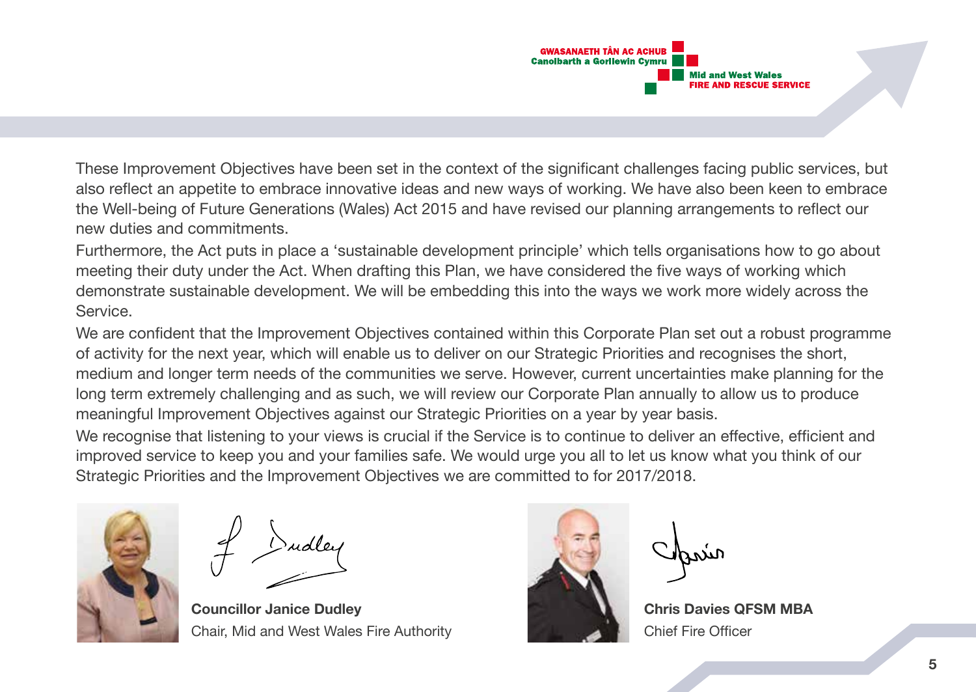

These Improvement Objectives have been set in the context of the significant challenges facing public services, but also reflect an appetite to embrace innovative ideas and new ways of working. We have also been keen to embrace the Well-being of Future Generations (Wales) Act 2015 and have revised our planning arrangements to reflect our new duties and commitments.

Furthermore, the Act puts in place a 'sustainable development principle' which tells organisations how to go about meeting their duty under the Act. When drafting this Plan, we have considered the five ways of working which demonstrate sustainable development. We will be embedding this into the ways we work more widely across the Service.

We are confident that the Improvement Objectives contained within this Corporate Plan set out a robust programme of activity for the next year, which will enable us to deliver on our Strategic Priorities and recognises the short, medium and longer term needs of the communities we serve. However, current uncertainties make planning for the long term extremely challenging and as such, we will review our Corporate Plan annually to allow us to produce meaningful Improvement Objectives against our Strategic Priorities on a year by year basis.

We recognise that listening to your views is crucial if the Service is to continue to deliver an effective, efficient and improved service to keep you and your families safe. We would urge you all to let us know what you think of our Strategic Priorities and the Improvement Objectives we are committed to for 2017/2018.



**Councillor Janice Dudley Chris Davies Area Chris Davies QFSM MBA** Chair, Mid and West Wales Fire Authority Chief Fire Officer

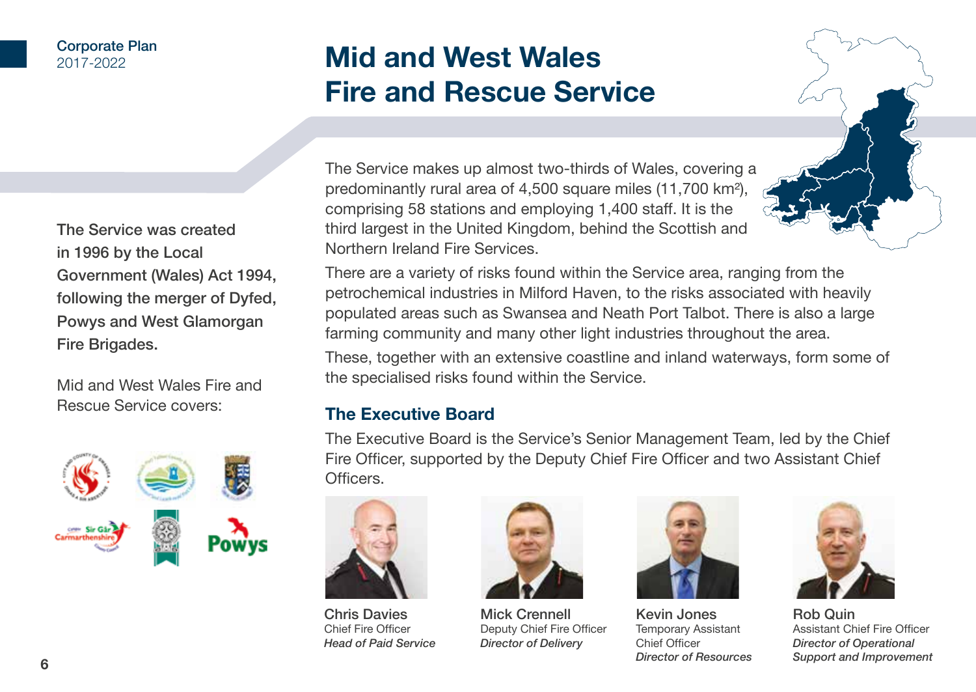#### Corporate Plan 2017-2022

# **Mid and West Wales Fire and Rescue Service**

The Service was created in 1996 by the Local Government (Wales) Act 1994, following the merger of Dyfed, Powys and West Glamorgan Fire Brigades.

Mid and West Wales Fire and Rescue Service covers:



The Service makes up almost two-thirds of Wales, covering a predominantly rural area of 4,500 square miles (11,700 km²), comprising 58 stations and employing 1,400 staff. It is the third largest in the United Kingdom, behind the Scottish and Northern Ireland Fire Services.

There are a variety of risks found within the Service area, ranging from the petrochemical industries in Milford Haven, to the risks associated with heavily populated areas such as Swansea and Neath Port Talbot. There is also a large farming community and many other light industries throughout the area.

These, together with an extensive coastline and inland waterways, form some of the specialised risks found within the Service.

# **The Executive Board**

The Executive Board is the Service's Senior Management Team, led by the Chief Fire Officer, supported by the Deputy Chief Fire Officer and two Assistant Chief Officers.



Chris Davies Chief Fire Officer *Head of Paid Service*



Mick Crennell Deputy Chief Fire Officer *Director of Delivery*



Kevin Jones Temporary Assistant Chief Officer *Director of Resources*



Rob Quin Assistant Chief Fire Officer *Director of Operational Support and Improvement*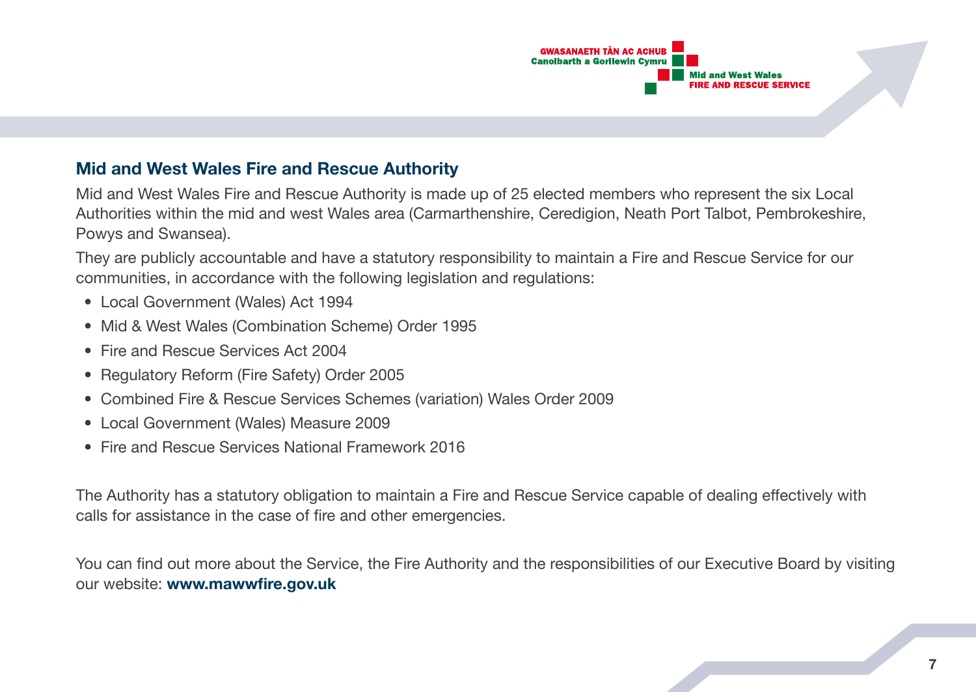

# **Mid and West Wales Fire and Rescue Authority**

Mid and West Wales Fire and Rescue Authority is made up of 25 elected members who represent the six Local Authorities within the mid and west Wales area (Carmarthenshire, Ceredigion, Neath Port Talbot, Pembrokeshire, Powys and Swansea).

They are publicly accountable and have a statutory responsibility to maintain a Fire and Rescue Service for our communities, in accordance with the following legislation and regulations:

- Local Government (Wales) Act 1994
- Mid & West Wales (Combination Scheme) Order 1995
- Fire and Rescue Services Act 2004
- Regulatory Reform (Fire Safety) Order 2005
- Combined Fire & Rescue Services Schemes (variation) Wales Order 2009
- Local Government (Wales) Measure 2009
- Fire and Rescue Services National Framework 2016

The Authority has a statutory obligation to maintain a Fire and Rescue Service capable of dealing effectively with calls for assistance in the case of fire and other emergencies.

You can find out more about the Service, the Fire Authority and the responsibilities of our Executive Board by visiting our website: **www.mawwfire.gov.uk**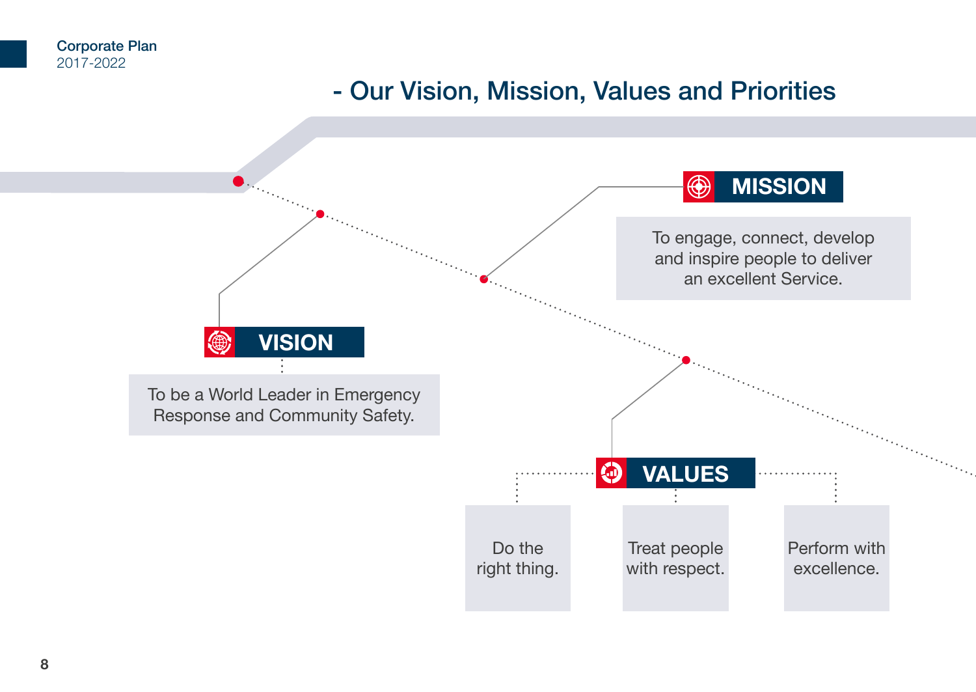# - Our Vision, Mission, Values and Priorities

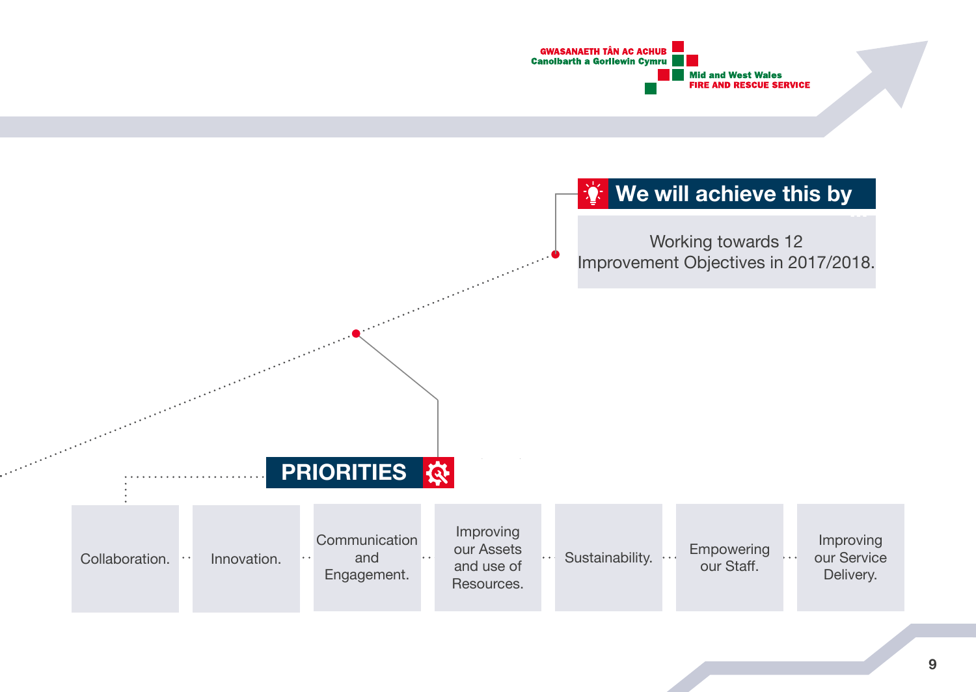

# **We will achieve this by**

Working towards 12 Improvement Objectives in 2017/2018.

# **PRIORITIES**

**British Company** 

| Collaboration.<br>$\cdots$ | Innovation. | Communication<br>and<br>$\bullet$ $\bullet$<br>Engagement. | $\bullet\bullet$ | Improving<br>our Assets<br>and use of<br>Resources. |  | Sustainability. |  | Empowering<br>our Staff. |  | Improving<br>our Service<br>Delivery. |
|----------------------------|-------------|------------------------------------------------------------|------------------|-----------------------------------------------------|--|-----------------|--|--------------------------|--|---------------------------------------|
|----------------------------|-------------|------------------------------------------------------------|------------------|-----------------------------------------------------|--|-----------------|--|--------------------------|--|---------------------------------------|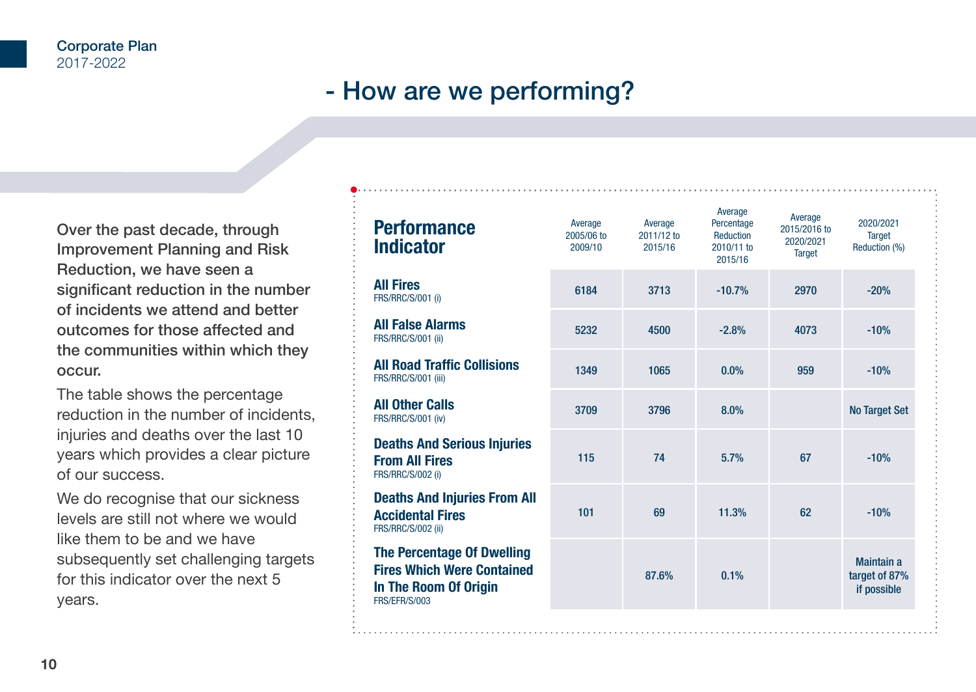# - How are we performing?

Over the past decade, through Improvement Planning and Risk Reduction, we have seen a significant reduction in the number of incidents we attend and better outcomes for those affected and the communities within which they occur.

The table shows the percentage reduction in the number of incidents, injuries and deaths over the last 10 years which provides a clear picture of our success.

We do recognise that our sickness levels are still not where we would like them to be and we have subsequently set challenging targets for this indicator over the next 5 years.

| <b>Performance</b><br><b>Indicator</b>                                                                                  | Average<br>2005/06 to<br>2009/10 | Average<br>2011/12 to<br>2015/16 | Average<br>Percentage<br>Reduction<br>2010/11 to<br>2015/16 | Average<br>2015/2016 to<br>2020/2021<br><b>Target</b> | 2020/2021<br><b>Target</b><br>Reduction (%) |
|-------------------------------------------------------------------------------------------------------------------------|----------------------------------|----------------------------------|-------------------------------------------------------------|-------------------------------------------------------|---------------------------------------------|
| <b>All Fires</b><br><b>FRS/RRC/S/001 (i)</b>                                                                            | 6184                             | 3713                             | $-10.7%$                                                    | 2970                                                  | $-20%$                                      |
| <b>All False Alarms</b><br>FRS/RRC/S/001 (ii)                                                                           | 5232                             | 4500                             | $-2.8%$                                                     | 4073                                                  | $-10%$                                      |
| <b>All Road Traffic Collisions</b><br>FRS/RRC/S/001 (iii)                                                               | 1349                             | 1065                             | 0.0%                                                        | 959                                                   | $-10%$                                      |
| <b>All Other Calls</b><br>FRS/RRC/S/001 (iv)                                                                            | 3709                             | 3796                             | 8.0%                                                        |                                                       | <b>No Target Set</b>                        |
| <b>Deaths And Serious Injuries</b><br><b>From All Fires</b><br><b>FRS/RRC/S/002 (i)</b>                                 | 115                              | 74                               | 5.7%                                                        | 67                                                    | $-10%$                                      |
| <b>Deaths And Injuries From All</b><br><b>Accidental Fires</b><br>FRS/RRC/S/002 (ii)                                    | 101                              | 69                               | 11.3%                                                       | 62                                                    | $-10%$                                      |
| <b>The Percentage Of Dwelling</b><br><b>Fires Which Were Contained</b><br>In The Room Of Origin<br><b>FRS/EFR/S/003</b> |                                  | 87.6%                            | 0.1%                                                        |                                                       | Maintain a<br>target of 87%<br>if possible  |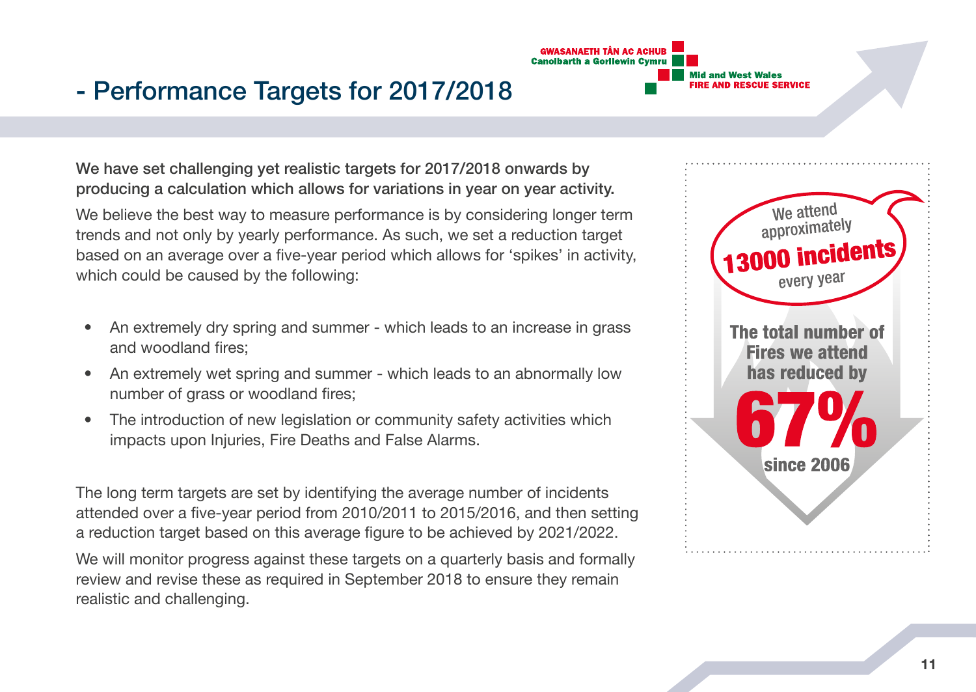

# - Performance Targets for 2017/2018

We have set challenging yet realistic targets for 2017/2018 onwards by producing a calculation which allows for variations in year on year activity.

We believe the best way to measure performance is by considering longer term trends and not only by yearly performance. As such, we set a reduction target based on an average over a five-year period which allows for 'spikes' in activity, which could be caused by the following:

- An extremely dry spring and summer which leads to an increase in grass and woodland fires;
- An extremely wet spring and summer which leads to an abnormally low number of grass or woodland fires;
- The introduction of new legislation or community safety activities which impacts upon Injuries, Fire Deaths and False Alarms.

The long term targets are set by identifying the average number of incidents attended over a five-year period from 2010/2011 to 2015/2016, and then setting a reduction target based on this average figure to be achieved by 2021/2022.

We will monitor progress against these targets on a quarterly basis and formally review and revise these as required in September 2018 to ensure they remain realistic and challenging.

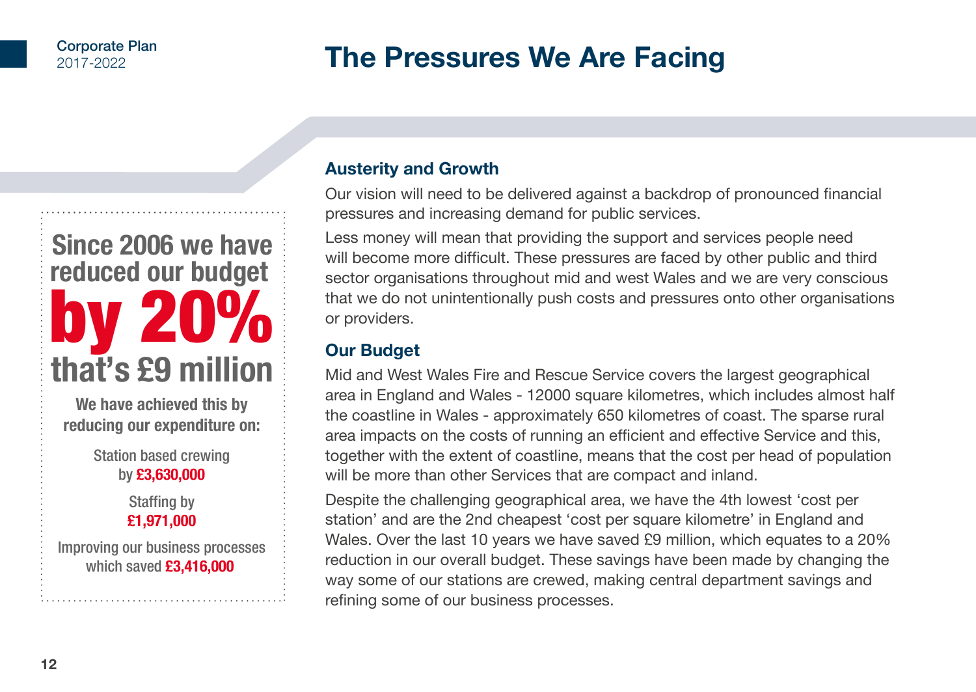# **The Pressures We Are Facing**

# **Since 2006 we have reduced our budget**  by 20% **that's £9 million**

**We have achieved this by reducing our expenditure on:**

> Station based crewing by **£3,630,000**

> > Staffing by **£1,971,000**

Improving our business processes which saved **£3,416,000**

# **Austerity and Growth**

Our vision will need to be delivered against a backdrop of pronounced financial pressures and increasing demand for public services.

Less money will mean that providing the support and services people need will become more difficult. These pressures are faced by other public and third sector organisations throughout mid and west Wales and we are very conscious that we do not unintentionally push costs and pressures onto other organisations or providers.

# **Our Budget**

Mid and West Wales Fire and Rescue Service covers the largest geographical area in England and Wales - 12000 square kilometres, which includes almost half the coastline in Wales - approximately 650 kilometres of coast. The sparse rural area impacts on the costs of running an efficient and effective Service and this, together with the extent of coastline, means that the cost per head of population will be more than other Services that are compact and inland.

Despite the challenging geographical area, we have the 4th lowest 'cost per station' and are the 2nd cheapest 'cost per square kilometre' in England and Wales. Over the last 10 years we have saved £9 million, which equates to a 20% reduction in our overall budget. These savings have been made by changing the way some of our stations are crewed, making central department savings and refining some of our business processes.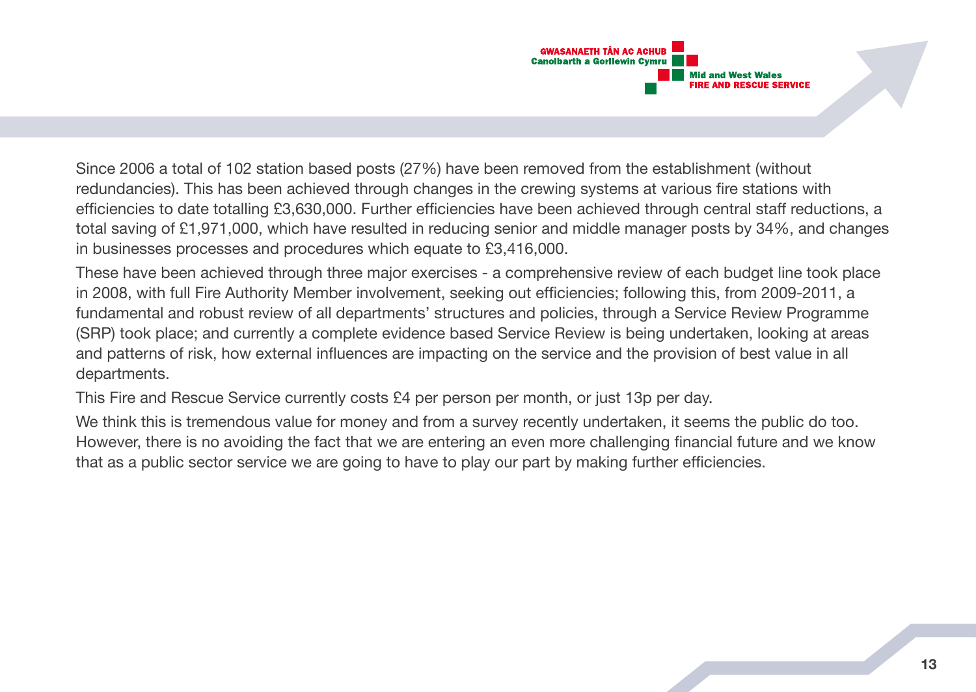

Since 2006 a total of 102 station based posts (27%) have been removed from the establishment (without redundancies). This has been achieved through changes in the crewing systems at various fire stations with efficiencies to date totalling £3,630,000. Further efficiencies have been achieved through central staff reductions, a total saving of £1,971,000, which have resulted in reducing senior and middle manager posts by 34%, and changes in businesses processes and procedures which equate to £3,416,000.

These have been achieved through three major exercises - a comprehensive review of each budget line took place in 2008, with full Fire Authority Member involvement, seeking out efficiencies; following this, from 2009-2011, a fundamental and robust review of all departments' structures and policies, through a Service Review Programme (SRP) took place; and currently a complete evidence based Service Review is being undertaken, looking at areas and patterns of risk, how external influences are impacting on the service and the provision of best value in all departments.

This Fire and Rescue Service currently costs £4 per person per month, or just 13p per day.

We think this is tremendous value for money and from a survey recently undertaken, it seems the public do too. However, there is no avoiding the fact that we are entering an even more challenging financial future and we know that as a public sector service we are going to have to play our part by making further efficiencies.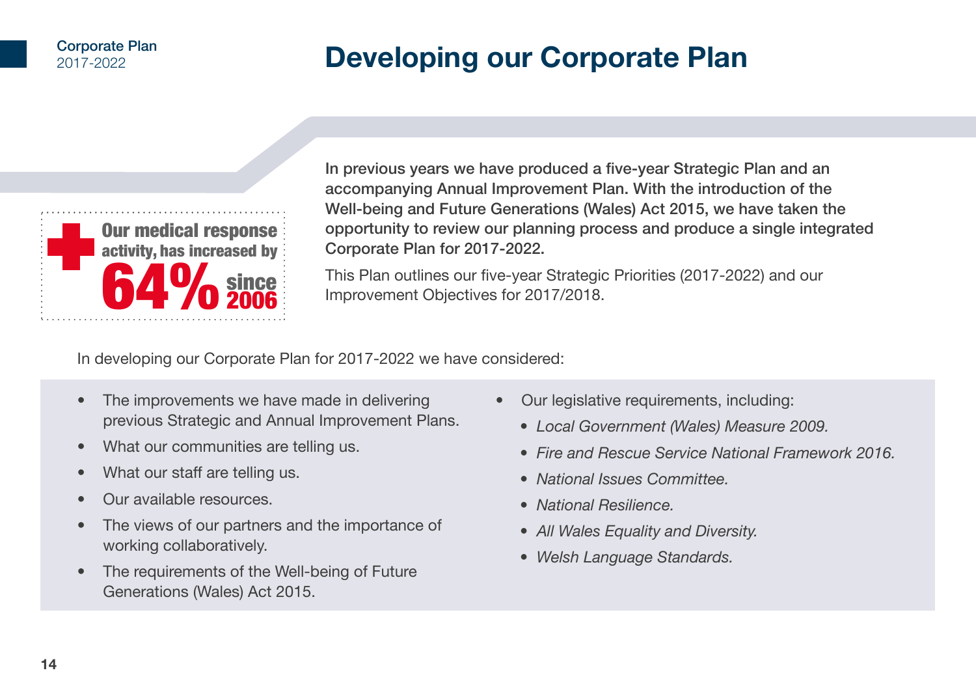#### Corporate Plan 2017-2022

# **Developing our Corporate Plan**



In previous years we have produced a five-year Strategic Plan and an accompanying Annual Improvement Plan. With the introduction of the Well-being and Future Generations (Wales) Act 2015, we have taken the opportunity to review our planning process and produce a single integrated Corporate Plan for 2017-2022.

This Plan outlines our five-year Strategic Priorities (2017-2022) and our Improvement Objectives for 2017/2018.

In developing our Corporate Plan for 2017-2022 we have considered:

- The improvements we have made in delivering previous Strategic and Annual Improvement Plans.
- What our communities are telling us.
- What our staff are telling us.
- Our available resources.
- The views of our partners and the importance of working collaboratively.
- The requirements of the Well-being of Future Generations (Wales) Act 2015.
- Our legislative requirements, including:
	- *Local Government (Wales) Measure 2009.*
	- *Fire and Rescue Service National Framework 2016.*
	- *National Issues Committee.*
	- *National Resilience.*
	- *All Wales Equality and Diversity.*
	- *Welsh Language Standards.*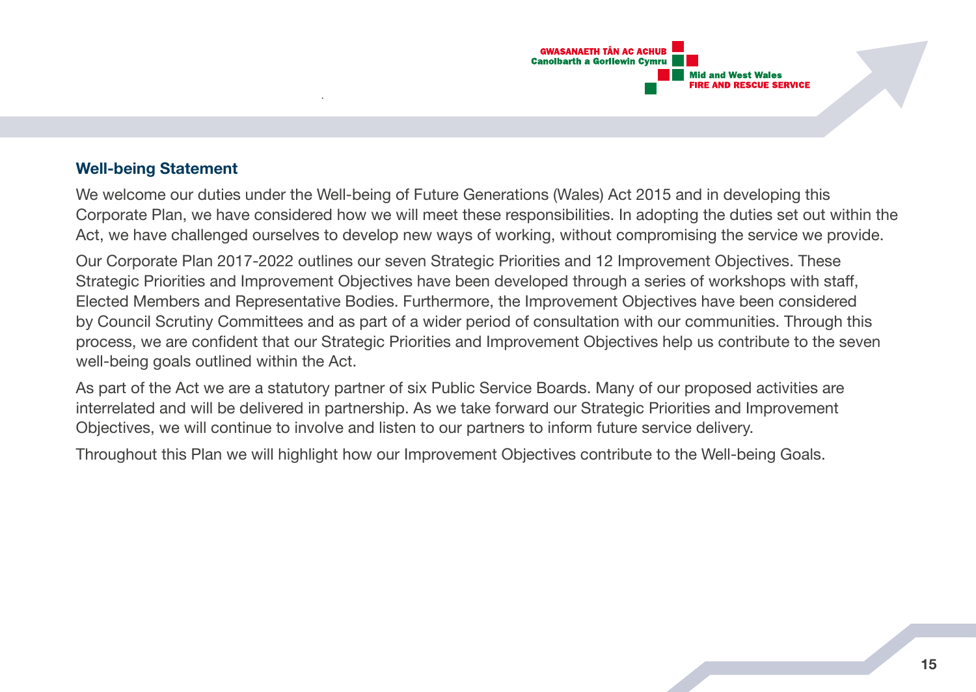

## **Well-being Statement**

We welcome our duties under the Well-being of Future Generations (Wales) Act 2015 and in developing this Corporate Plan, we have considered how we will meet these responsibilities. In adopting the duties set out within the Act, we have challenged ourselves to develop new ways of working, without compromising the service we provide.

Our Corporate Plan 2017-2022 outlines our seven Strategic Priorities and 12 Improvement Objectives. These Strategic Priorities and Improvement Objectives have been developed through a series of workshops with staff, Elected Members and Representative Bodies. Furthermore, the Improvement Objectives have been considered by Council Scrutiny Committees and as part of a wider period of consultation with our communities. Through this process, we are confident that our Strategic Priorities and Improvement Objectives help us contribute to the seven well-being goals outlined within the Act.

As part of the Act we are a statutory partner of six Public Service Boards. Many of our proposed activities are interrelated and will be delivered in partnership. As we take forward our Strategic Priorities and Improvement Objectives, we will continue to involve and listen to our partners to inform future service delivery.

Throughout this Plan we will highlight how our Improvement Objectives contribute to the Well-being Goals.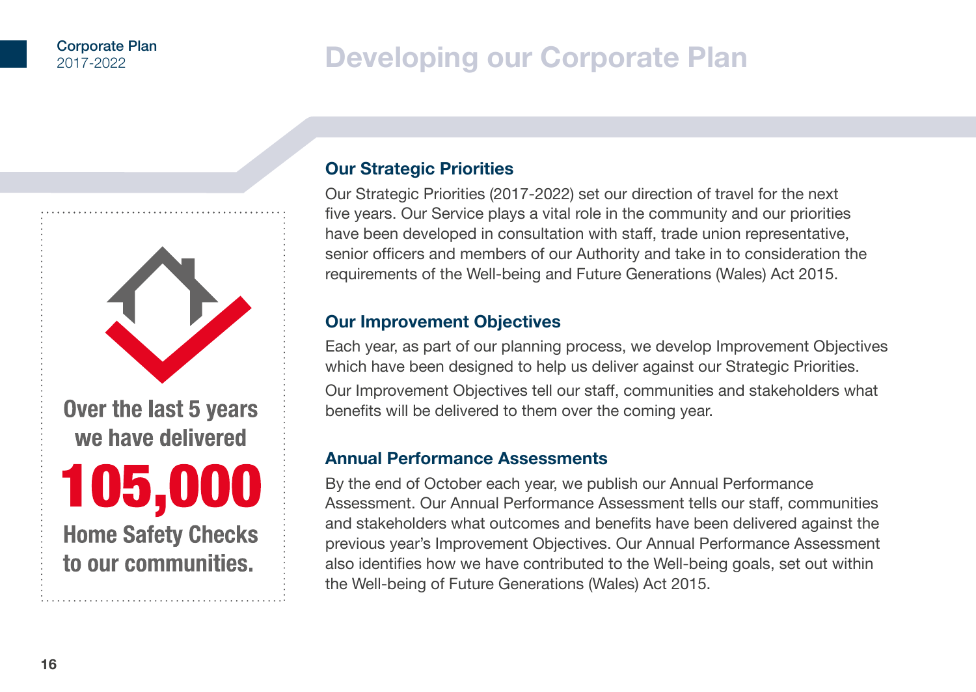# **Developing our Corporate Plan**



# **Our Strategic Priorities**

Our Strategic Priorities (2017-2022) set our direction of travel for the next five years. Our Service plays a vital role in the community and our priorities have been developed in consultation with staff, trade union representative, senior officers and members of our Authority and take in to consideration the requirements of the Well-being and Future Generations (Wales) Act 2015.

# **Our Improvement Objectives**

Each year, as part of our planning process, we develop Improvement Objectives which have been designed to help us deliver against our Strategic Priorities. Our Improvement Objectives tell our staff, communities and stakeholders what benefits will be delivered to them over the coming year.

## **Annual Performance Assessments**

By the end of October each year, we publish our Annual Performance Assessment. Our Annual Performance Assessment tells our staff, communities and stakeholders what outcomes and benefits have been delivered against the previous year's Improvement Objectives. Our Annual Performance Assessment also identifies how we have contributed to the Well-being goals, set out within the Well-being of Future Generations (Wales) Act 2015.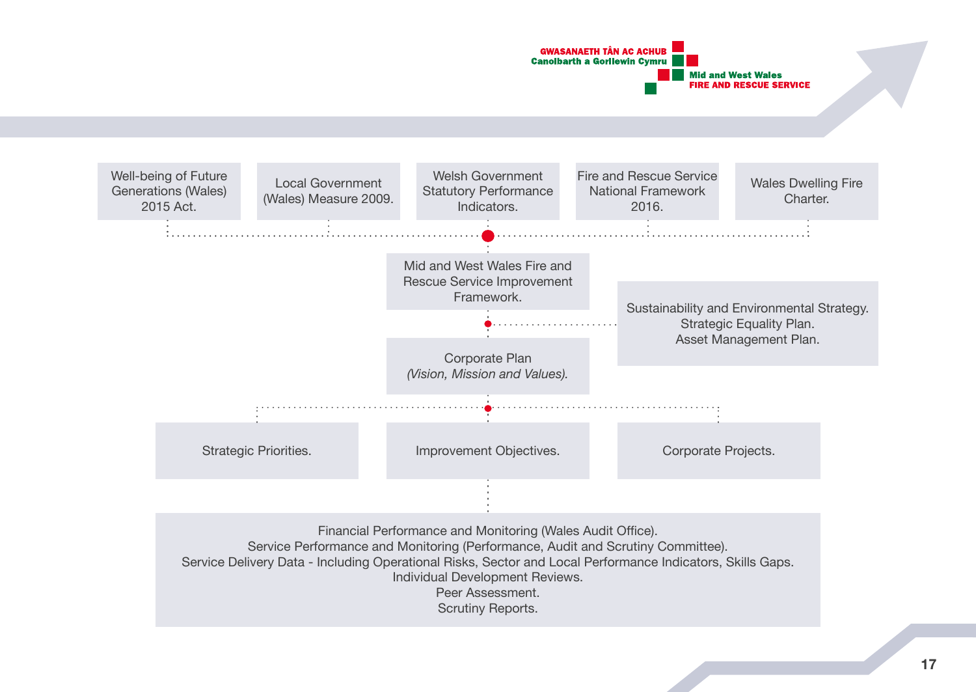

Individual Development Reviews.

Peer Assessment.

Scrutiny Reports.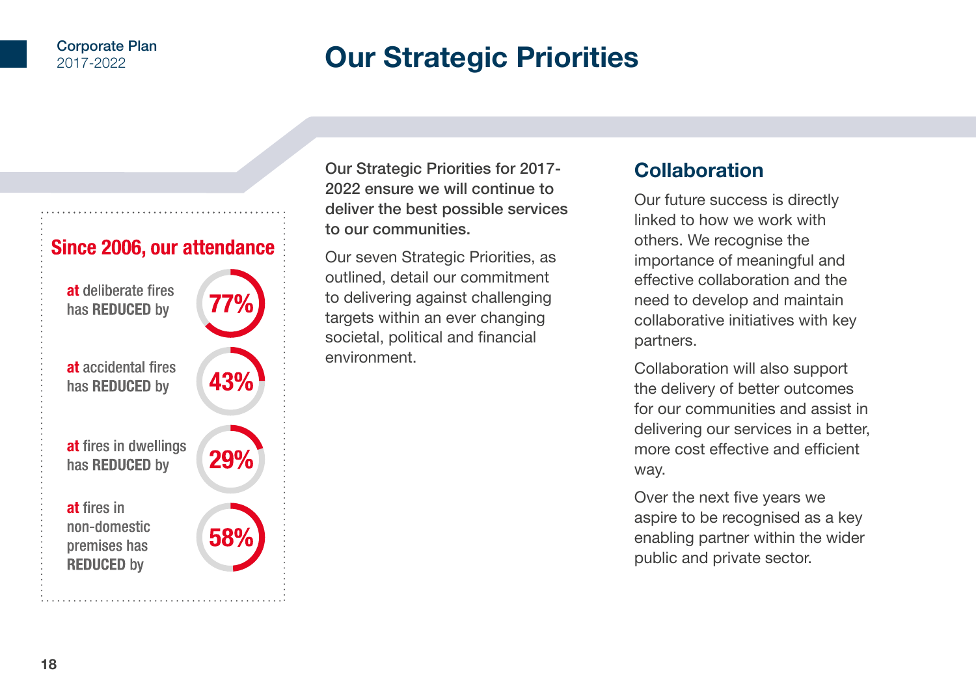#### Corporate Plan 2017-2022

# **Our Strategic Priorities**



Our Strategic Priorities for 2017- 2022 ensure we will continue to deliver the best possible services to our communities.

Our seven Strategic Priorities, as outlined, detail our commitment to delivering against challenging targets within an ever changing societal, political and financial environment.

# **Collaboration**

Our future success is directly linked to how we work with others. We recognise the importance of meaningful and effective collaboration and the need to develop and maintain collaborative initiatives with key partners.

Collaboration will also support the delivery of better outcomes for our communities and assist in delivering our services in a better, more cost effective and efficient way.

Over the next five years we aspire to be recognised as a key enabling partner within the wider public and private sector.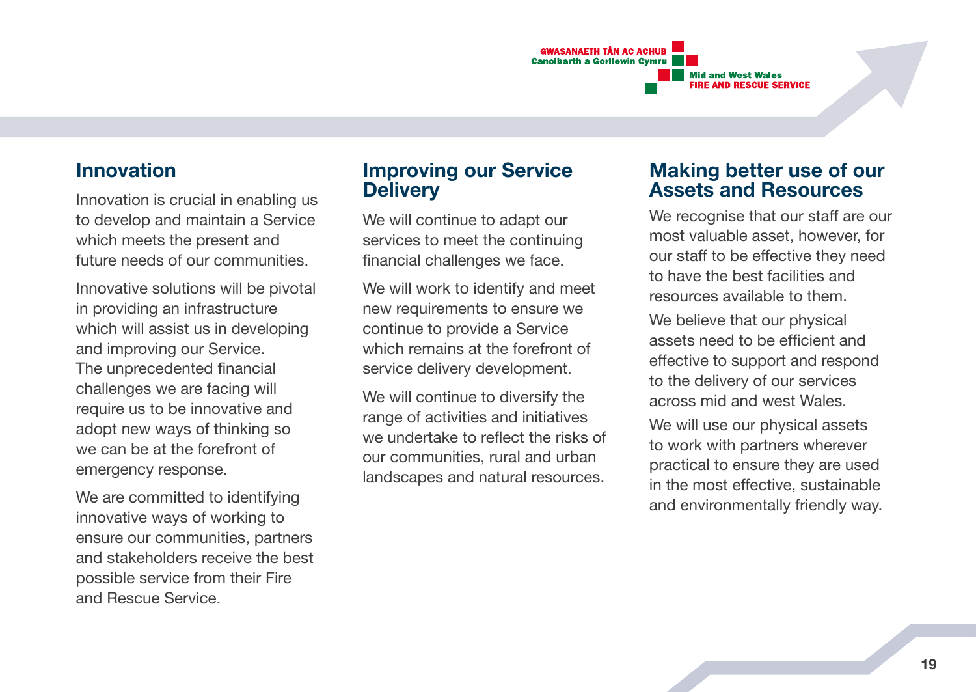

# **Innovation**

Innovation is crucial in enabling us to develop and maintain a Service which meets the present and future needs of our communities.

Innovative solutions will be pivotal in providing an infrastructure which will assist us in developing and improving our Service. The unprecedented financial challenges we are facing will require us to be innovative and adopt new ways of thinking so we can be at the forefront of emergency response.

We are committed to identifying innovative ways of working to ensure our communities, partners and stakeholders receive the best possible service from their Fire and Rescue Service.

# **Improving our Service Delivery**

We will continue to adapt our services to meet the continuing financial challenges we face.

We will work to identify and meet new requirements to ensure we continue to provide a Service which remains at the forefront of service delivery development.

We will continue to diversify the range of activities and initiatives we undertake to reflect the risks of our communities, rural and urban landscapes and natural resources.

# **Making better use of our Assets and Resources**

We recognise that our staff are our most valuable asset, however, for our staff to be effective they need to have the best facilities and resources available to them.

We believe that our physical assets need to be efficient and effective to support and respond to the delivery of our services across mid and west Wales. We will use our physical assets to work with partners wherever practical to ensure they are used in the most effective, sustainable and environmentally friendly way.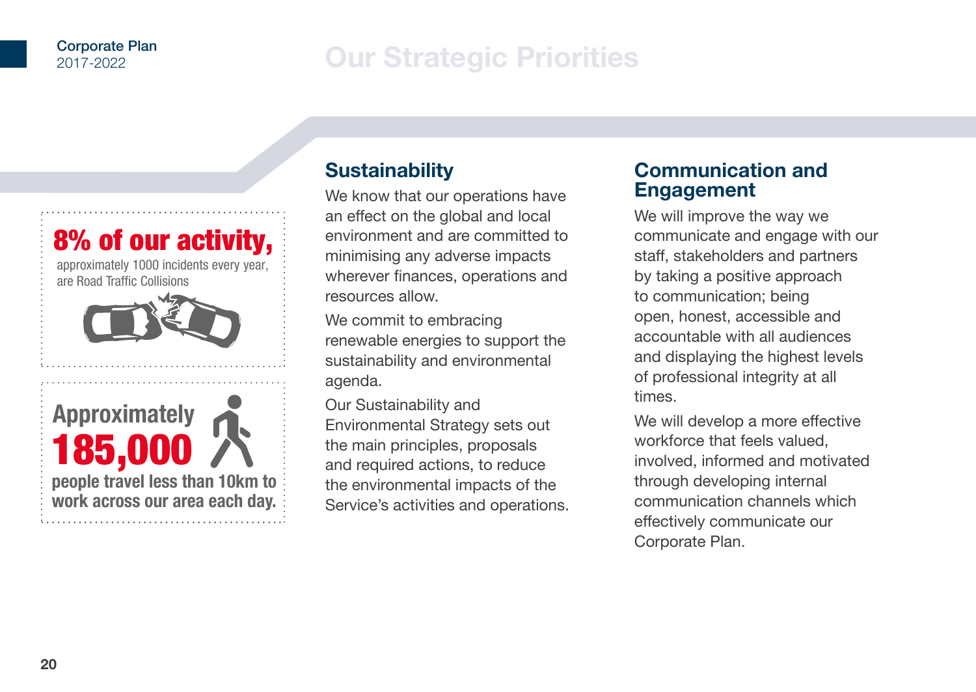# **Our Strategic Priorities**



# **Sustainability**

We know that our operations have an effect on the global and local environment and are committed to minimising any adverse impacts wherever finances, operations and resources allow.

We commit to embracing renewable energies to support the sustainability and environmental agenda.

Our Sustainability and Environmental Strategy sets out the main principles, proposals and required actions, to reduce the environmental impacts of the Service's activities and operations.

# **Communication and Engagement**

We will improve the way we communicate and engage with our staff, stakeholders and partners by taking a positive approach to communication; being open, honest, accessible and accountable with all audiences and displaying the highest levels of professional integrity at all times.

We will develop a more effective workforce that feels valued, involved, informed and motivated through developing internal communication channels which effectively communicate our Corporate Plan.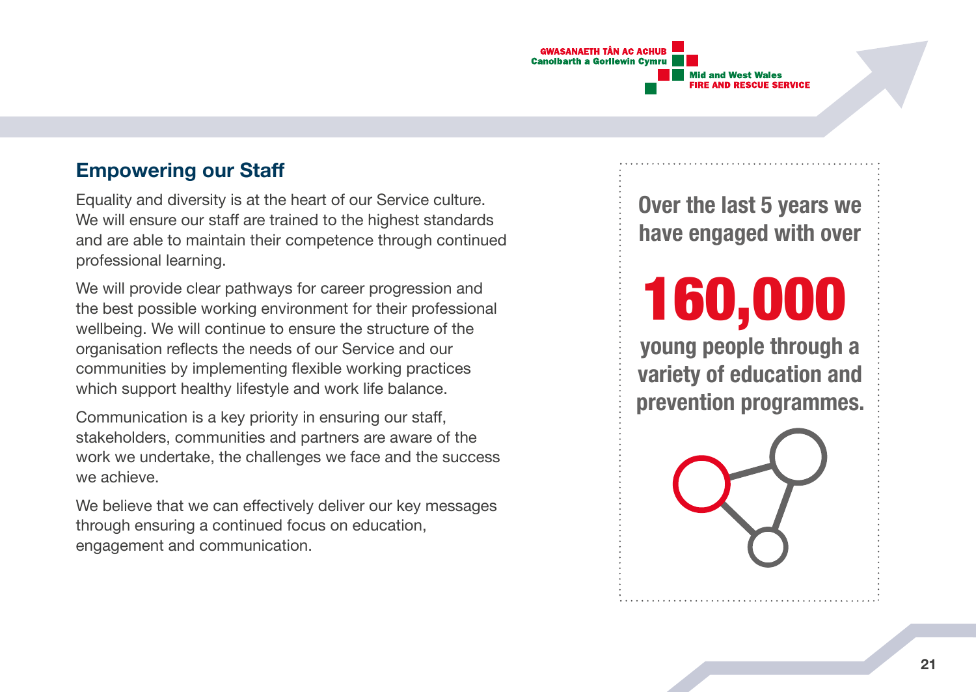

# **Empowering our Staff**

Equality and diversity is at the heart of our Service culture. We will ensure our staff are trained to the highest standards and are able to maintain their competence through continued professional learning.

We will provide clear pathways for career progression and the best possible working environment for their professional wellbeing. We will continue to ensure the structure of the organisation reflects the needs of our Service and our communities by implementing flexible working practices which support healthy lifestyle and work life balance.

Communication is a key priority in ensuring our staff, stakeholders, communities and partners are aware of the work we undertake, the challenges we face and the success we achieve.

We believe that we can effectively deliver our key messages through ensuring a continued focus on education, engagement and communication.

**Over the last 5 years we have engaged with over**

160,000

**young people through a variety of education and prevention programmes.**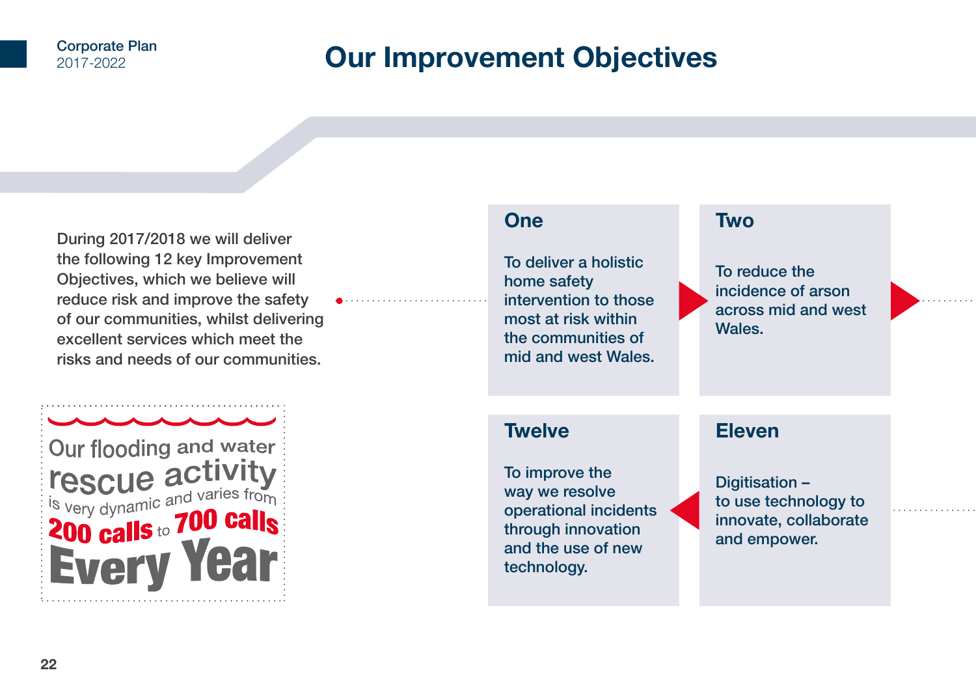# **Our Improvement Objectives**

During 2017/2018 we will deliver the following 12 key Improvement Objectives, which we believe will reduce risk and improve the safety of our communities, whilst delivering excellent services which meet the risks and needs of our communities.



# **One**

To deliver a holistic home safety intervention to those most at risk within the communities of mid and west Wales.

# **Two**

To reduce the incidence of arson across mid and west Wales.

# **Twelve**

To improve the way we resolve operational incidents through innovation and the use of new technology.

# **Eleven**

Digitisation – to use technology to innovate, collaborate and empower.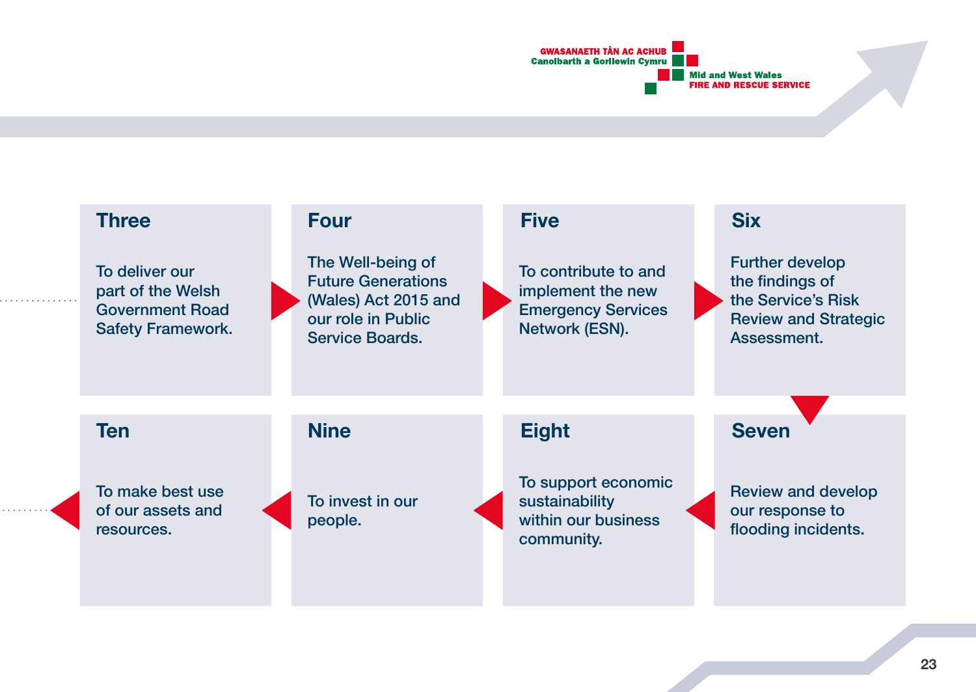

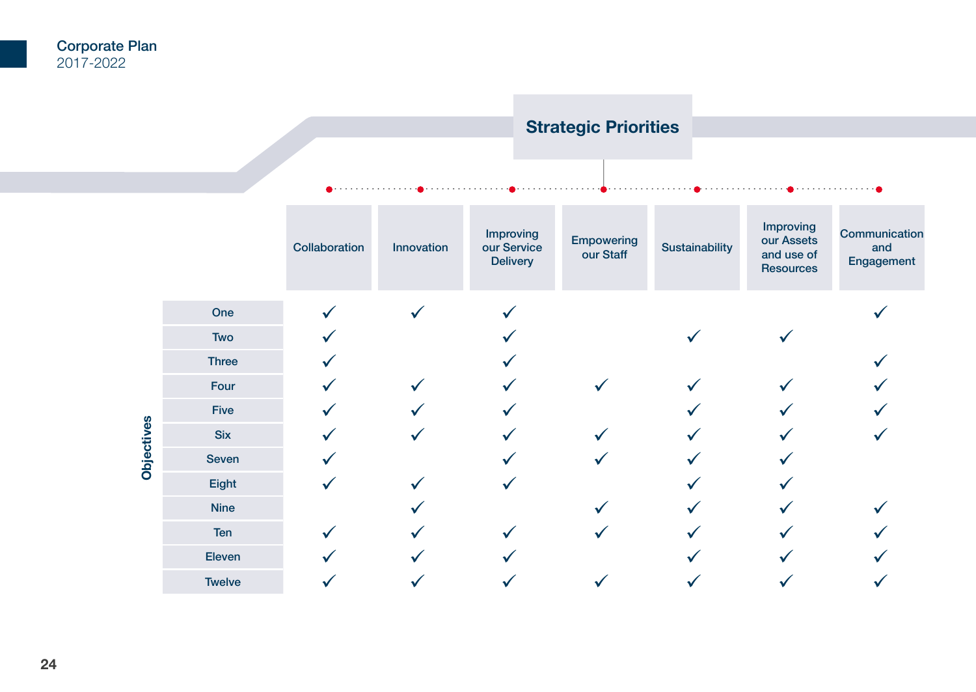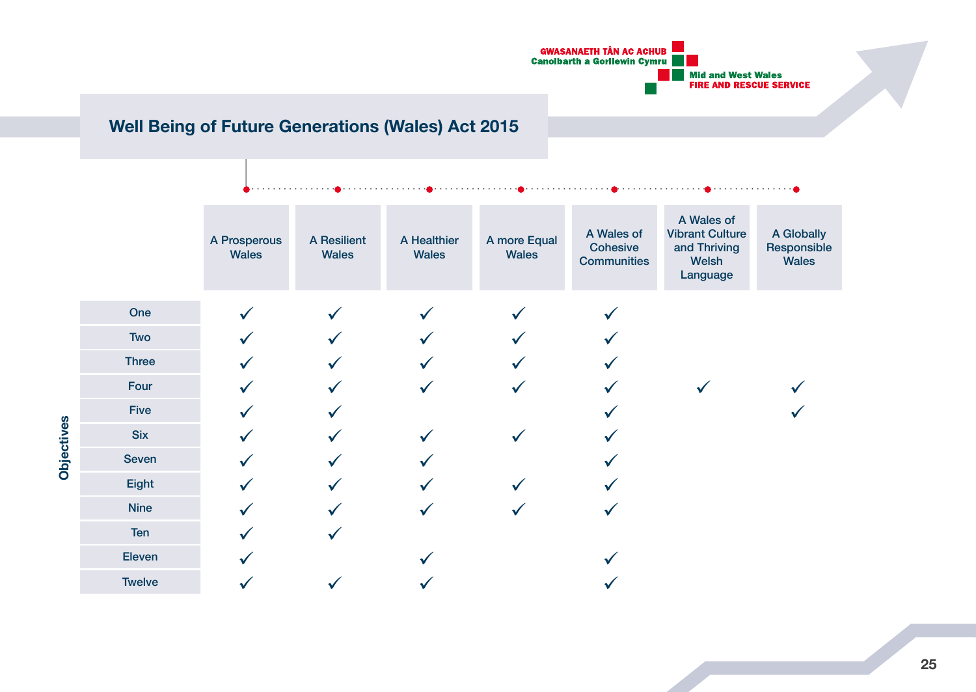

# **Well Being of Future Generations (Wales) Act 2015**

|            |               | A Prosperous<br>Wales | A Resilient<br>Wales | A Healthier<br>Wales | A more Equal<br>Wales | A Wales of<br>Cohesive<br><b>Communities</b> | A Wales of<br><b>Vibrant Culture</b><br>and Thriving<br>Welsh<br>Language | A Globally<br>Responsible<br>Wales |
|------------|---------------|-----------------------|----------------------|----------------------|-----------------------|----------------------------------------------|---------------------------------------------------------------------------|------------------------------------|
|            | One           |                       |                      |                      |                       |                                              |                                                                           |                                    |
|            | Two           |                       |                      |                      |                       |                                              |                                                                           |                                    |
|            | Three         |                       |                      |                      |                       |                                              |                                                                           |                                    |
|            | Four          |                       |                      |                      |                       |                                              |                                                                           |                                    |
|            | Five          |                       |                      |                      |                       |                                              |                                                                           |                                    |
|            | <b>Six</b>    |                       |                      |                      |                       |                                              |                                                                           |                                    |
| Objectives | Seven         |                       |                      |                      |                       |                                              |                                                                           |                                    |
|            | Eight         |                       |                      |                      |                       |                                              |                                                                           |                                    |
|            | <b>Nine</b>   |                       |                      | ✓                    |                       |                                              |                                                                           |                                    |
|            | Ten           |                       |                      |                      |                       |                                              |                                                                           |                                    |
|            | Eleven        |                       |                      |                      |                       |                                              |                                                                           |                                    |
|            | <b>Twelve</b> |                       |                      |                      |                       |                                              |                                                                           |                                    |

**25**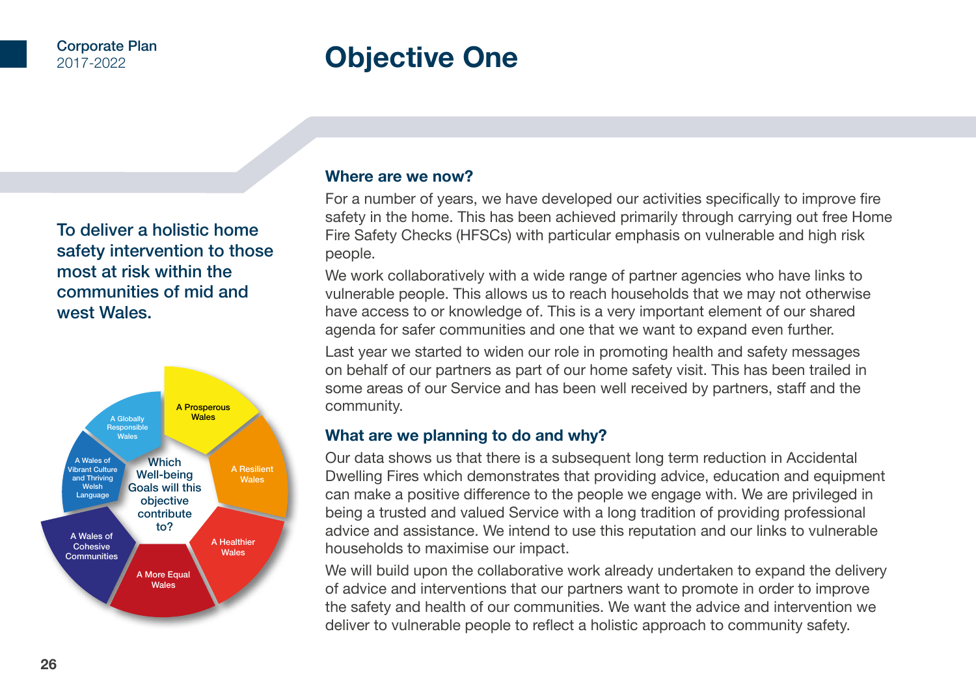# **Objective One**

To deliver a holistic home safety intervention to those most at risk within the communities of mid and west Wales.



#### **Where are we now?**

For a number of years, we have developed our activities specifically to improve fire safety in the home. This has been achieved primarily through carrying out free Home Fire Safety Checks (HFSCs) with particular emphasis on vulnerable and high risk people.

We work collaboratively with a wide range of partner agencies who have links to vulnerable people. This allows us to reach households that we may not otherwise have access to or knowledge of. This is a very important element of our shared agenda for safer communities and one that we want to expand even further.

Last year we started to widen our role in promoting health and safety messages on behalf of our partners as part of our home safety visit. This has been trailed in some areas of our Service and has been well received by partners, staff and the community.

## **What are we planning to do and why?**

Our data shows us that there is a subsequent long term reduction in Accidental Dwelling Fires which demonstrates that providing advice, education and equipment can make a positive difference to the people we engage with. We are privileged in being a trusted and valued Service with a long tradition of providing professional advice and assistance. We intend to use this reputation and our links to vulnerable households to maximise our impact.

We will build upon the collaborative work already undertaken to expand the delivery of advice and interventions that our partners want to promote in order to improve the safety and health of our communities. We want the advice and intervention we deliver to vulnerable people to reflect a holistic approach to community safety.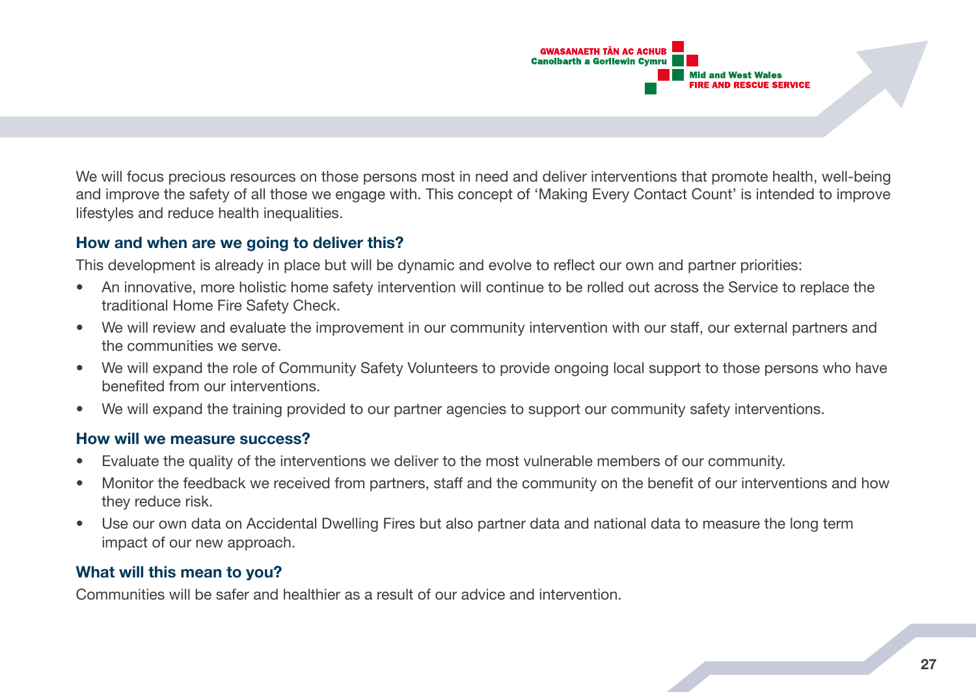

We will focus precious resources on those persons most in need and deliver interventions that promote health, well-being and improve the safety of all those we engage with. This concept of 'Making Every Contact Count' is intended to improve lifestyles and reduce health inequalities.

## **How and when are we going to deliver this?**

This development is already in place but will be dynamic and evolve to reflect our own and partner priorities:

- An innovative, more holistic home safety intervention will continue to be rolled out across the Service to replace the traditional Home Fire Safety Check.
- We will review and evaluate the improvement in our community intervention with our staff, our external partners and the communities we serve.
- We will expand the role of Community Safety Volunteers to provide ongoing local support to those persons who have benefited from our interventions.
- We will expand the training provided to our partner agencies to support our community safety interventions.

#### **How will we measure success?**

- Evaluate the quality of the interventions we deliver to the most vulnerable members of our community.
- Monitor the feedback we received from partners, staff and the community on the benefit of our interventions and how they reduce risk.
- Use our own data on Accidental Dwelling Fires but also partner data and national data to measure the long term impact of our new approach.

# **What will this mean to you?**

Communities will be safer and healthier as a result of our advice and intervention.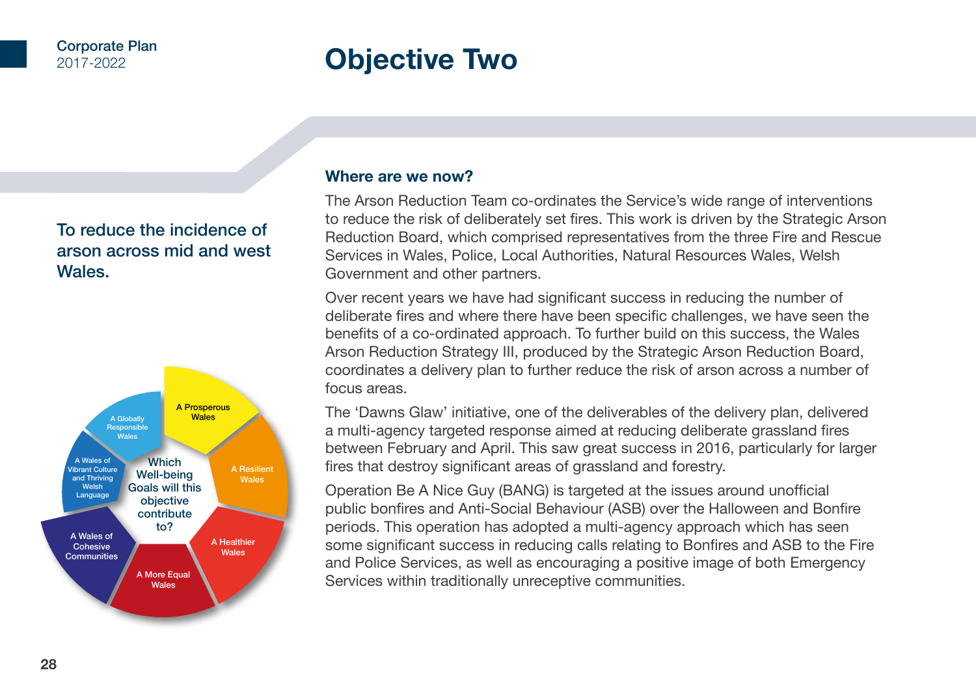# **Objective Two**

# To reduce the incidence of arson across mid and west Wales.



## **Where are we now?**

The Arson Reduction Team co-ordinates the Service's wide range of interventions to reduce the risk of deliberately set fires. This work is driven by the Strategic Arson Reduction Board, which comprised representatives from the three Fire and Rescue Services in Wales, Police, Local Authorities, Natural Resources Wales, Welsh Government and other partners.

Over recent years we have had significant success in reducing the number of deliberate fires and where there have been specific challenges, we have seen the benefits of a co-ordinated approach. To further build on this success, the Wales Arson Reduction Strategy III, produced by the Strategic Arson Reduction Board, coordinates a delivery plan to further reduce the risk of arson across a number of focus areas.

The 'Dawns Glaw' initiative, one of the deliverables of the delivery plan, delivered a multi-agency targeted response aimed at reducing deliberate grassland fires between February and April. This saw great success in 2016, particularly for larger fires that destroy significant areas of grassland and forestry.

Operation Be A Nice Guy (BANG) is targeted at the issues around unofficial public bonfires and Anti-Social Behaviour (ASB) over the Halloween and Bonfire periods. This operation has adopted a multi-agency approach which has seen some significant success in reducing calls relating to Bonfires and ASB to the Fire and Police Services, as well as encouraging a positive image of both Emergency Services within traditionally unreceptive communities.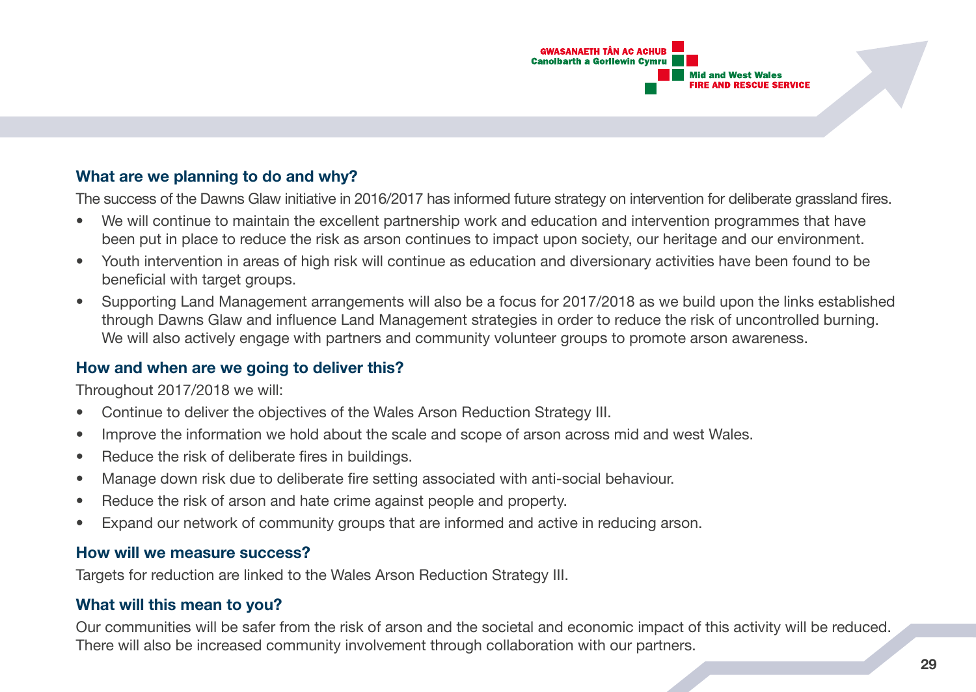

# **What are we planning to do and why?**

The success of the Dawns Glaw initiative in 2016/2017 has informed future strategy on intervention for deliberate grassland fires.

- We will continue to maintain the excellent partnership work and education and intervention programmes that have been put in place to reduce the risk as arson continues to impact upon society, our heritage and our environment.
- Youth intervention in areas of high risk will continue as education and diversionary activities have been found to be beneficial with target groups.
- Supporting Land Management arrangements will also be a focus for 2017/2018 as we build upon the links established through Dawns Glaw and influence Land Management strategies in order to reduce the risk of uncontrolled burning. We will also actively engage with partners and community volunteer groups to promote arson awareness.

## **How and when are we going to deliver this?**

Throughout 2017/2018 we will:

- Continue to deliver the objectives of the Wales Arson Reduction Strategy III.
- Improve the information we hold about the scale and scope of arson across mid and west Wales.
- Reduce the risk of deliberate fires in buildings.
- Manage down risk due to deliberate fire setting associated with anti-social behaviour.
- Reduce the risk of arson and hate crime against people and property.
- Expand our network of community groups that are informed and active in reducing arson.

## **How will we measure success?**

Targets for reduction are linked to the Wales Arson Reduction Strategy III.

# **What will this mean to you?**

Our communities will be safer from the risk of arson and the societal and economic impact of this activity will be reduced. There will also be increased community involvement through collaboration with our partners.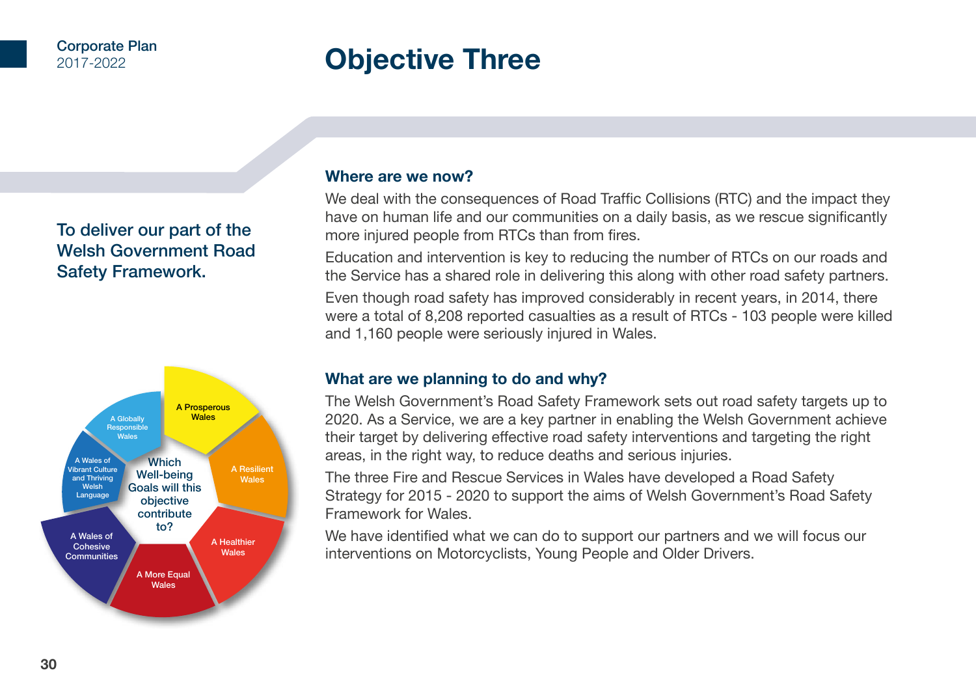# **Objective Three**

# To deliver our part of the Welsh Government Road Safety Framework.



## **Where are we now?**

We deal with the consequences of Road Traffic Collisions (RTC) and the impact they have on human life and our communities on a daily basis, as we rescue significantly more injured people from RTCs than from fires.

Education and intervention is key to reducing the number of RTCs on our roads and the Service has a shared role in delivering this along with other road safety partners.

Even though road safety has improved considerably in recent years, in 2014, there were a total of 8,208 reported casualties as a result of RTCs - 103 people were killed and 1,160 people were seriously injured in Wales.

# **What are we planning to do and why?**

The Welsh Government's Road Safety Framework sets out road safety targets up to 2020. As a Service, we are a key partner in enabling the Welsh Government achieve their target by delivering effective road safety interventions and targeting the right areas, in the right way, to reduce deaths and serious injuries.

The three Fire and Rescue Services in Wales have developed a Road Safety Strategy for 2015 - 2020 to support the aims of Welsh Government's Road Safety Framework for Wales.

We have identified what we can do to support our partners and we will focus our interventions on Motorcyclists, Young People and Older Drivers.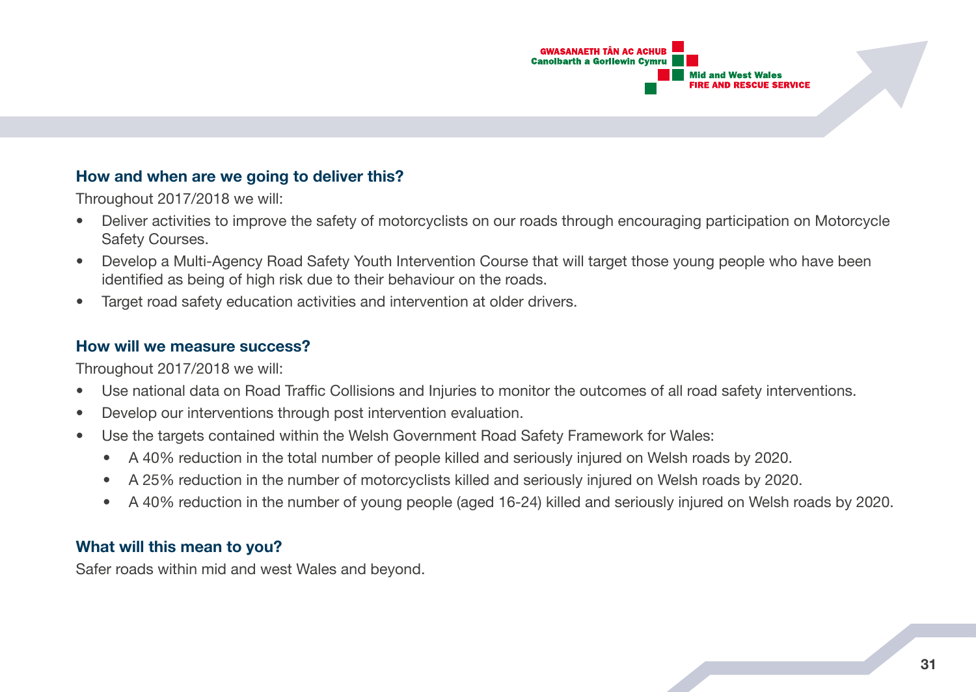

## **How and when are we going to deliver this?**

Throughout 2017/2018 we will:

- Deliver activities to improve the safety of motorcyclists on our roads through encouraging participation on Motorcycle Safety Courses.
- Develop a Multi-Agency Road Safety Youth Intervention Course that will target those young people who have been identified as being of high risk due to their behaviour on the roads.
- Target road safety education activities and intervention at older drivers.

## **How will we measure success?**

Throughout 2017/2018 we will:

- Use national data on Road Traffic Collisions and Injuries to monitor the outcomes of all road safety interventions.
- Develop our interventions through post intervention evaluation.
- Use the targets contained within the Welsh Government Road Safety Framework for Wales:
	- A 40% reduction in the total number of people killed and seriously injured on Welsh roads by 2020.
	- A 25% reduction in the number of motorcyclists killed and seriously injured on Welsh roads by 2020.
	- A 40% reduction in the number of young people (aged 16-24) killed and seriously injured on Welsh roads by 2020.

# **What will this mean to you?**

Safer roads within mid and west Wales and beyond.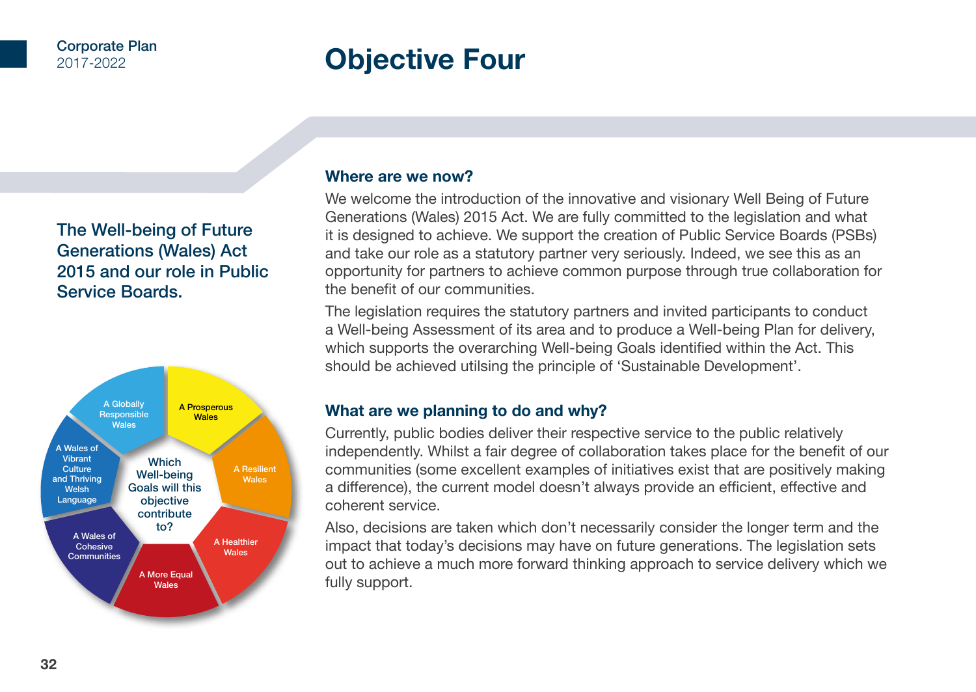# **Objective Four**

# The Well-being of Future Generations (Wales) Act 2015 and our role in Public Service Boards.



## **Where are we now?**

We welcome the introduction of the innovative and visionary Well Being of Future Generations (Wales) 2015 Act. We are fully committed to the legislation and what it is designed to achieve. We support the creation of Public Service Boards (PSBs) and take our role as a statutory partner very seriously. Indeed, we see this as an opportunity for partners to achieve common purpose through true collaboration for the benefit of our communities.

The legislation requires the statutory partners and invited participants to conduct a Well-being Assessment of its area and to produce a Well-being Plan for delivery, which supports the overarching Well-being Goals identified within the Act. This should be achieved utilsing the principle of 'Sustainable Development'.

## **What are we planning to do and why?**

Currently, public bodies deliver their respective service to the public relatively independently. Whilst a fair degree of collaboration takes place for the benefit of our communities (some excellent examples of initiatives exist that are positively making a difference), the current model doesn't always provide an efficient, effective and coherent service.

Also, decisions are taken which don't necessarily consider the longer term and the impact that today's decisions may have on future generations. The legislation sets out to achieve a much more forward thinking approach to service delivery which we fully support.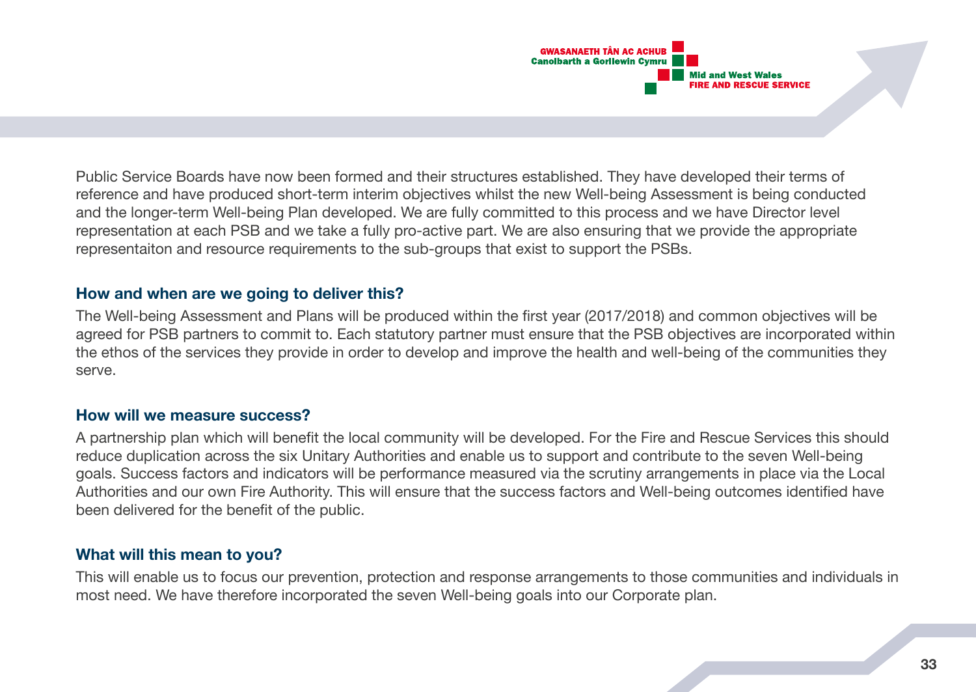

Public Service Boards have now been formed and their structures established. They have developed their terms of reference and have produced short-term interim objectives whilst the new Well-being Assessment is being conducted and the longer-term Well-being Plan developed. We are fully committed to this process and we have Director level representation at each PSB and we take a fully pro-active part. We are also ensuring that we provide the appropriate representaiton and resource requirements to the sub-groups that exist to support the PSBs.

#### **How and when are we going to deliver this?**

The Well-being Assessment and Plans will be produced within the first year (2017/2018) and common objectives will be agreed for PSB partners to commit to. Each statutory partner must ensure that the PSB objectives are incorporated within the ethos of the services they provide in order to develop and improve the health and well-being of the communities they serve.

## **How will we measure success?**

A partnership plan which will benefit the local community will be developed. For the Fire and Rescue Services this should reduce duplication across the six Unitary Authorities and enable us to support and contribute to the seven Well-being goals. Success factors and indicators will be performance measured via the scrutiny arrangements in place via the Local Authorities and our own Fire Authority. This will ensure that the success factors and Well-being outcomes identified have been delivered for the benefit of the public.

## **What will this mean to you?**

This will enable us to focus our prevention, protection and response arrangements to those communities and individuals in most need. We have therefore incorporated the seven Well-being goals into our Corporate plan.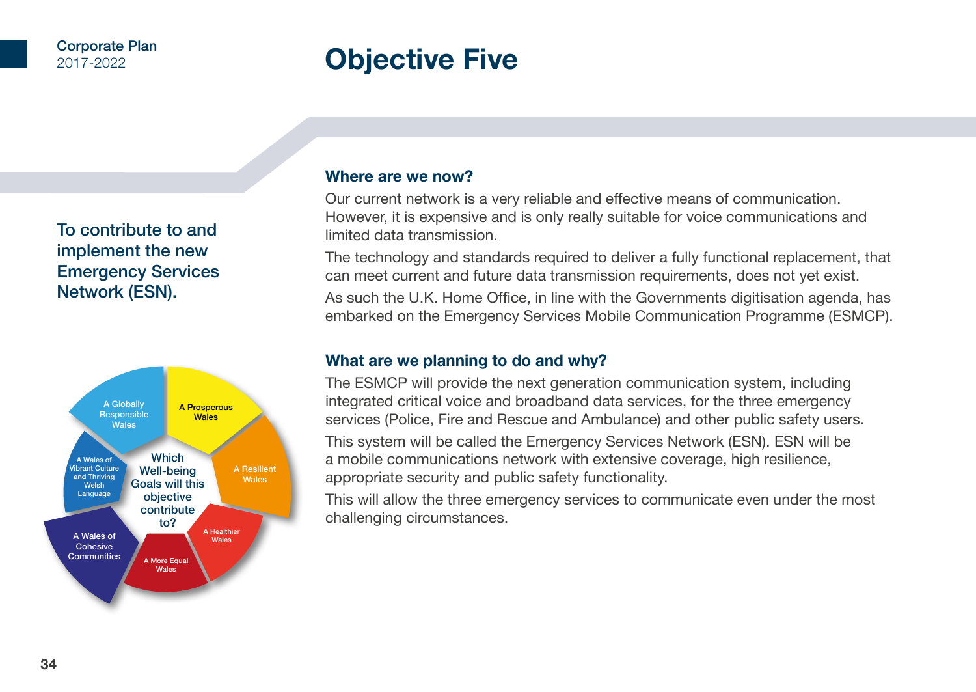# **Objective Five**

# To contribute to and implement the new Emergency Services Network (ESN).



## **Where are we now?**

Our current network is a very reliable and effective means of communication. However, it is expensive and is only really suitable for voice communications and limited data transmission.

The technology and standards required to deliver a fully functional replacement, that can meet current and future data transmission requirements, does not yet exist.

As such the U.K. Home Office, in line with the Governments digitisation agenda, has embarked on the Emergency Services Mobile Communication Programme (ESMCP).

## **What are we planning to do and why?**

The ESMCP will provide the next generation communication system, including integrated critical voice and broadband data services, for the three emergency services (Police, Fire and Rescue and Ambulance) and other public safety users.

This system will be called the Emergency Services Network (ESN). ESN will be a mobile communications network with extensive coverage, high resilience, appropriate security and public safety functionality.

This will allow the three emergency services to communicate even under the most challenging circumstances.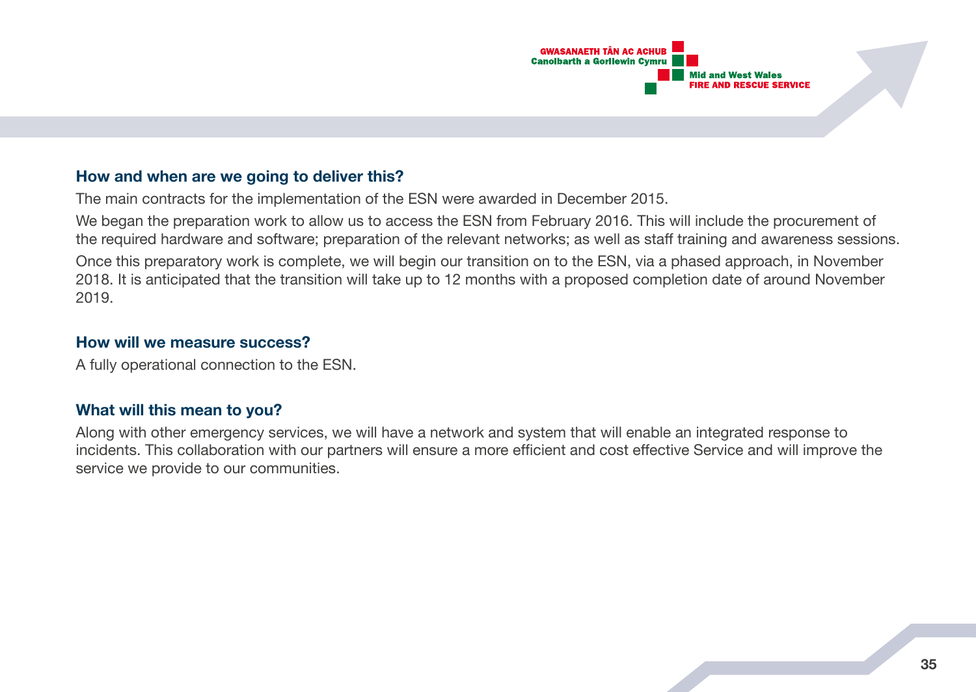

## **How and when are we going to deliver this?**

The main contracts for the implementation of the ESN were awarded in December 2015.

We began the preparation work to allow us to access the ESN from February 2016. This will include the procurement of the required hardware and software; preparation of the relevant networks; as well as staff training and awareness sessions.

Once this preparatory work is complete, we will begin our transition on to the ESN, via a phased approach, in November 2018. It is anticipated that the transition will take up to 12 months with a proposed completion date of around November 2019.

#### **How will we measure success?**

A fully operational connection to the ESN.

#### **What will this mean to you?**

Along with other emergency services, we will have a network and system that will enable an integrated response to incidents. This collaboration with our partners will ensure a more efficient and cost effective Service and will improve the service we provide to our communities.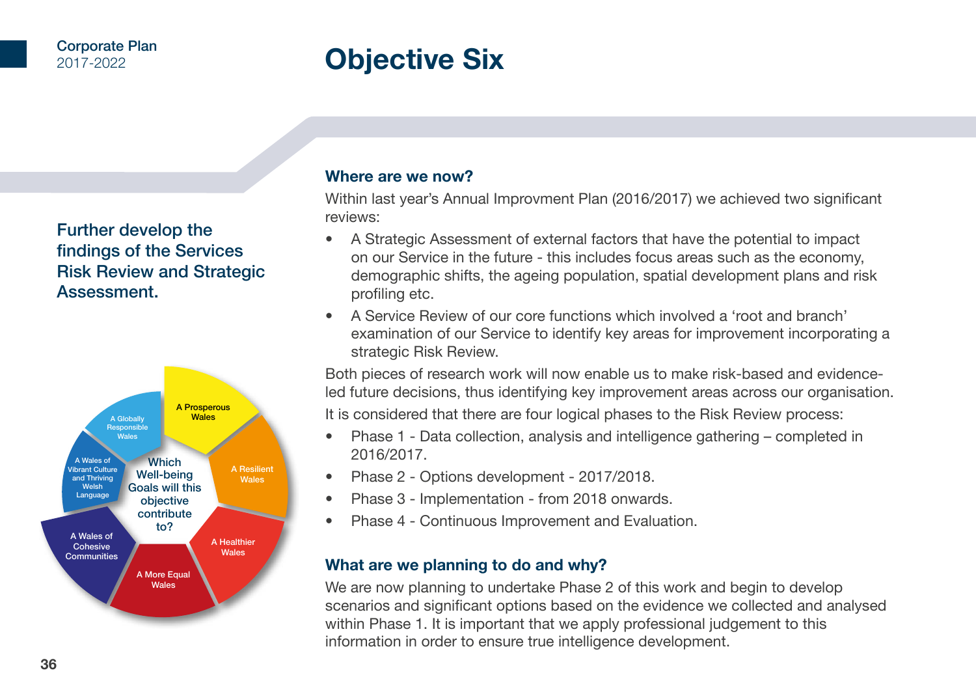# **Objective Six**

Further develop the findings of the Services Risk Review and Strategic Assessment.



#### **Where are we now?**

Within last year's Annual Improvment Plan (2016/2017) we achieved two significant reviews:

- A Strategic Assessment of external factors that have the potential to impact on our Service in the future - this includes focus areas such as the economy, demographic shifts, the ageing population, spatial development plans and risk profiling etc.
- A Service Review of our core functions which involved a 'root and branch' examination of our Service to identify key areas for improvement incorporating a strategic Risk Review.

Both pieces of research work will now enable us to make risk-based and evidenceled future decisions, thus identifying key improvement areas across our organisation.

It is considered that there are four logical phases to the Risk Review process:

- Phase 1 Data collection, analysis and intelligence gathering completed in 2016/2017.
- Phase 2 Options development 2017/2018.
- Phase 3 Implementation from 2018 onwards.
- Phase 4 Continuous Improvement and Evaluation.

## **What are we planning to do and why?**

We are now planning to undertake Phase 2 of this work and begin to develop scenarios and significant options based on the evidence we collected and analysed within Phase 1. It is important that we apply professional judgement to this information in order to ensure true intelligence development.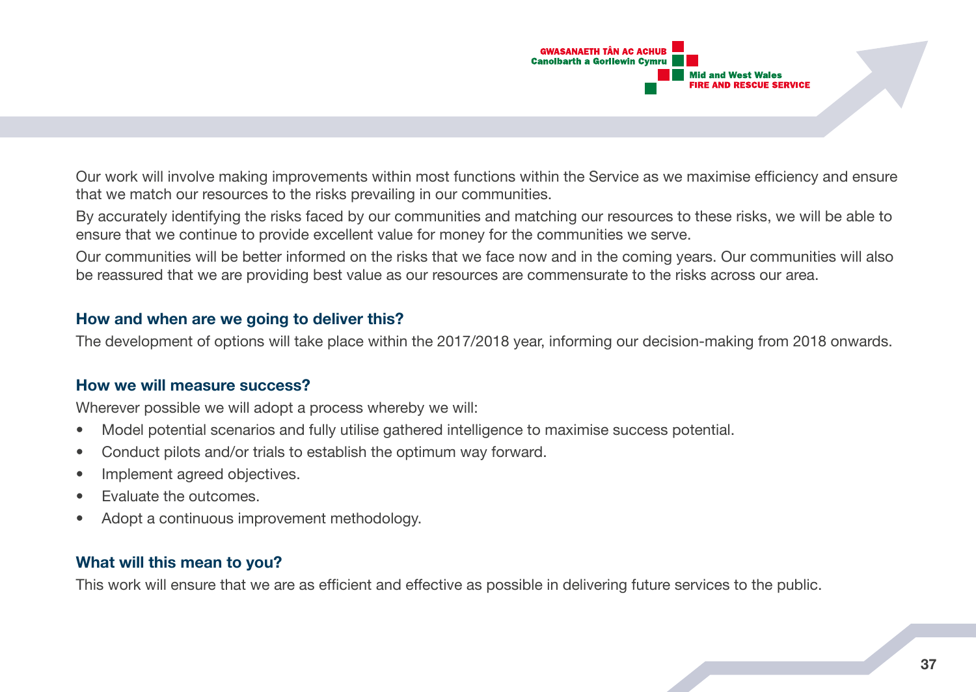

Our work will involve making improvements within most functions within the Service as we maximise efficiency and ensure that we match our resources to the risks prevailing in our communities.

By accurately identifying the risks faced by our communities and matching our resources to these risks, we will be able to ensure that we continue to provide excellent value for money for the communities we serve.

Our communities will be better informed on the risks that we face now and in the coming years. Our communities will also be reassured that we are providing best value as our resources are commensurate to the risks across our area.

#### **How and when are we going to deliver this?**

The development of options will take place within the 2017/2018 year, informing our decision-making from 2018 onwards.

#### **How we will measure success?**

Wherever possible we will adopt a process whereby we will:

- Model potential scenarios and fully utilise gathered intelligence to maximise success potential.
- Conduct pilots and/or trials to establish the optimum way forward.
- Implement agreed objectives.
- Evaluate the outcomes.
- Adopt a continuous improvement methodology.

## **What will this mean to you?**

This work will ensure that we are as efficient and effective as possible in delivering future services to the public.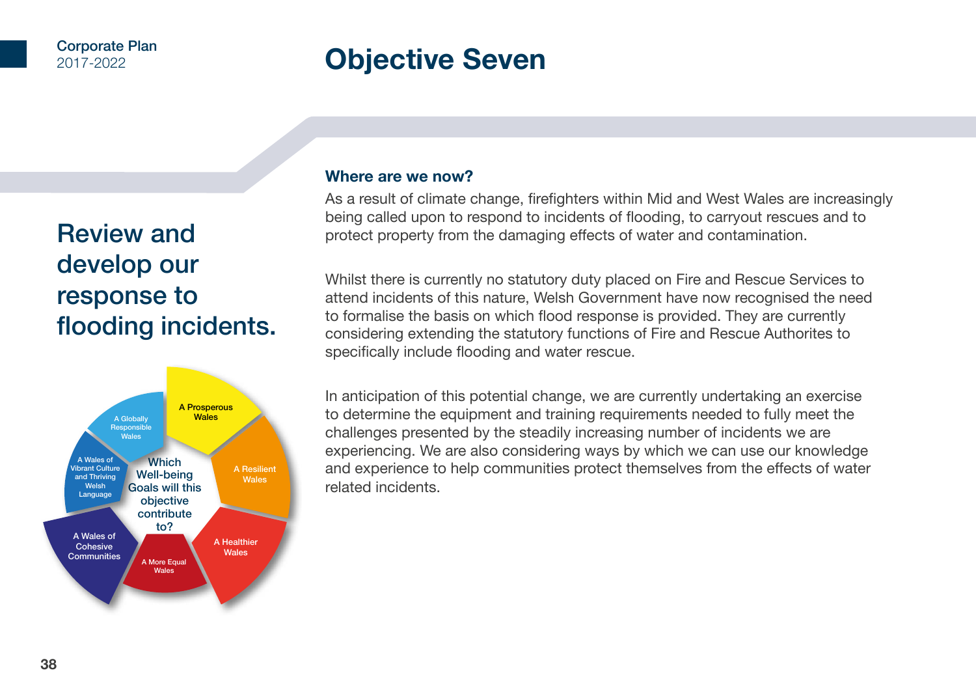# **Objective Seven**

# Review and develop our response to flooding incidents.



#### **Where are we now?**

As a result of climate change, firefighters within Mid and West Wales are increasingly being called upon to respond to incidents of flooding, to carryout rescues and to protect property from the damaging effects of water and contamination.

Whilst there is currently no statutory duty placed on Fire and Rescue Services to attend incidents of this nature, Welsh Government have now recognised the need to formalise the basis on which flood response is provided. They are currently considering extending the statutory functions of Fire and Rescue Authorites to specifically include flooding and water rescue.

In anticipation of this potential change, we are currently undertaking an exercise to determine the equipment and training requirements needed to fully meet the challenges presented by the steadily increasing number of incidents we are experiencing. We are also considering ways by which we can use our knowledge and experience to help communities protect themselves from the effects of water related incidents.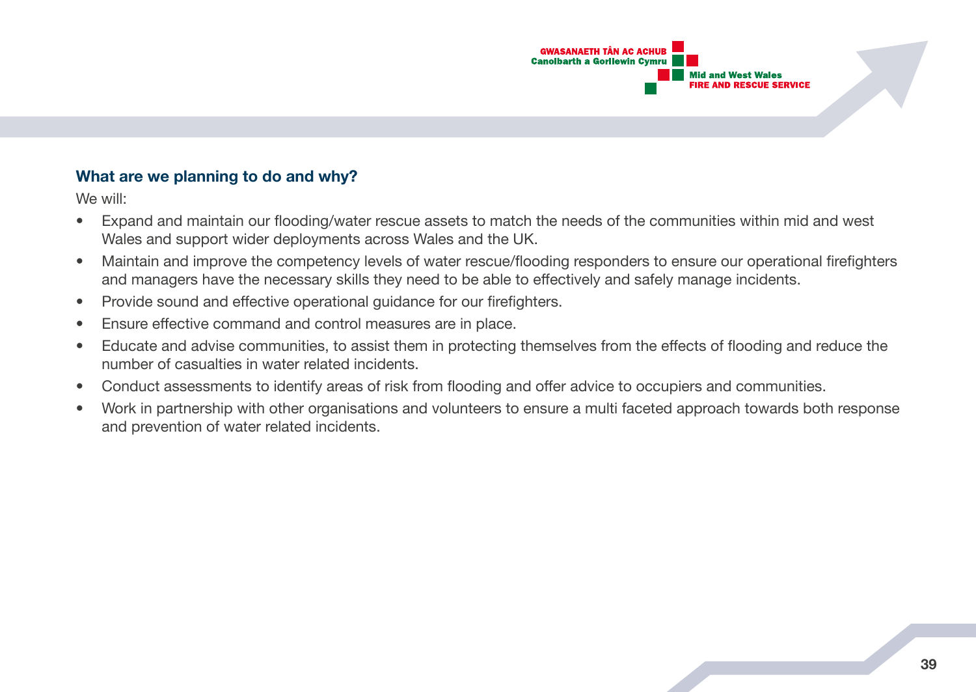

## **What are we planning to do and why?**

We will:

- Expand and maintain our flooding/water rescue assets to match the needs of the communities within mid and west Wales and support wider deployments across Wales and the UK.
- Maintain and improve the competency levels of water rescue/flooding responders to ensure our operational firefighters and managers have the necessary skills they need to be able to effectively and safely manage incidents.
- Provide sound and effective operational guidance for our firefighters.
- Ensure effective command and control measures are in place.
- Educate and advise communities, to assist them in protecting themselves from the effects of flooding and reduce the number of casualties in water related incidents.
- Conduct assessments to identify areas of risk from flooding and offer advice to occupiers and communities.
- Work in partnership with other organisations and volunteers to ensure a multi faceted approach towards both response and prevention of water related incidents.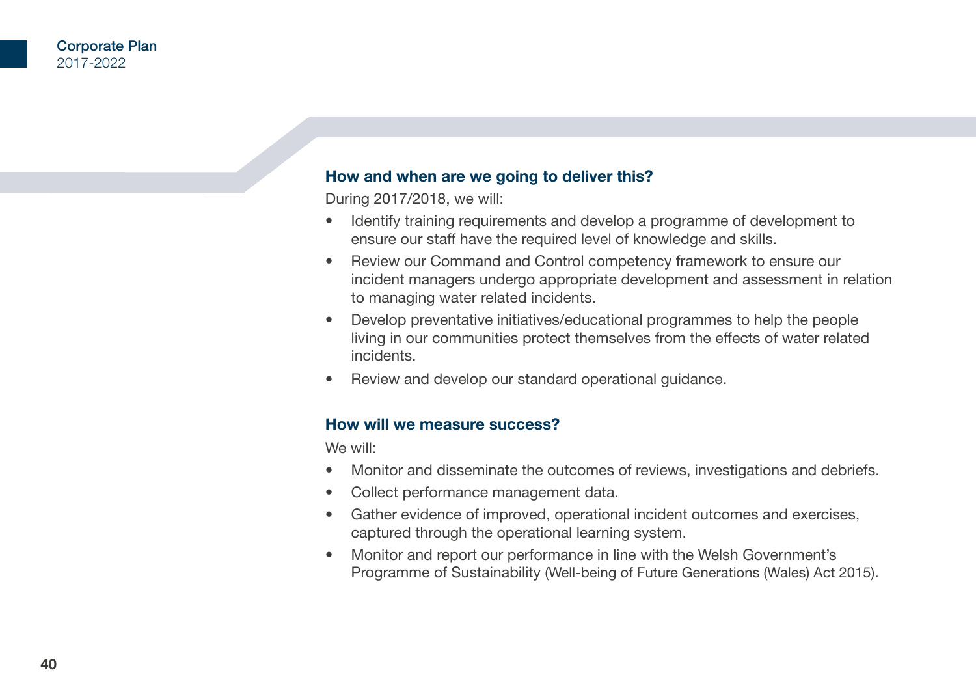## **How and when are we going to deliver this?**

During 2017/2018, we will:

- Identify training requirements and develop a programme of development to ensure our staff have the required level of knowledge and skills.
- Review our Command and Control competency framework to ensure our incident managers undergo appropriate development and assessment in relation to managing water related incidents.
- Develop preventative initiatives/educational programmes to help the people living in our communities protect themselves from the effects of water related incidents.
- Review and develop our standard operational guidance.

#### **How will we measure success?**

We will:

- Monitor and disseminate the outcomes of reviews, investigations and debriefs.
- Collect performance management data.
- Gather evidence of improved, operational incident outcomes and exercises, captured through the operational learning system.
- Monitor and report our performance in line with the Welsh Government's Programme of Sustainability (Well-being of Future Generations (Wales) Act 2015).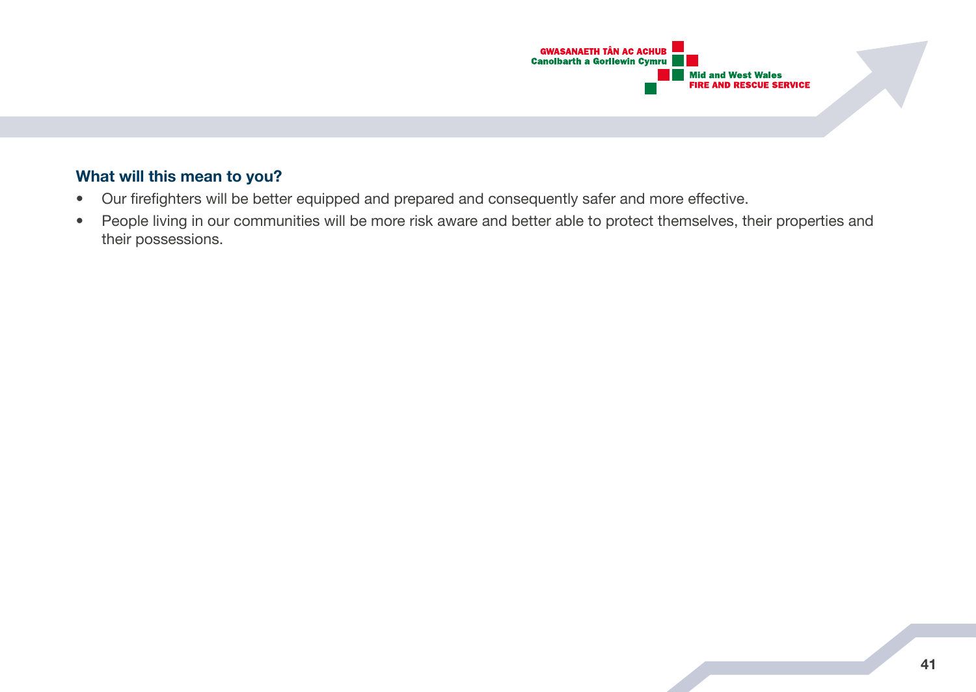

# **What will this mean to you?**

- Our firefighters will be better equipped and prepared and consequently safer and more effective.
- People living in our communities will be more risk aware and better able to protect themselves, their properties and their possessions.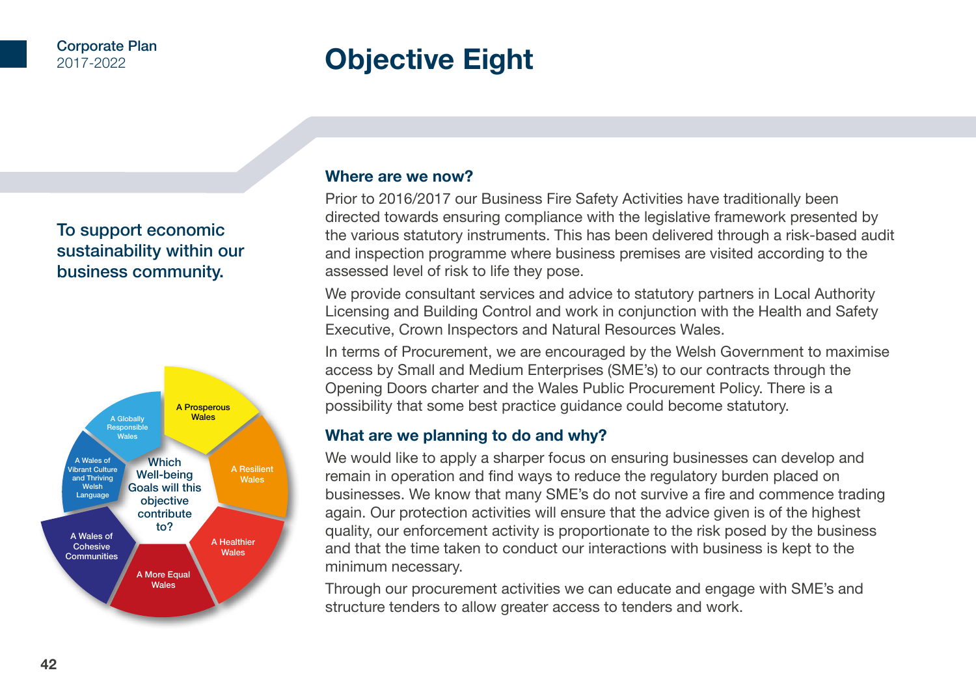# **Objective Eight**

# To support economic sustainability within our business community.



## **Where are we now?**

Prior to 2016/2017 our Business Fire Safety Activities have traditionally been directed towards ensuring compliance with the legislative framework presented by the various statutory instruments. This has been delivered through a risk-based audit and inspection programme where business premises are visited according to the assessed level of risk to life they pose.

We provide consultant services and advice to statutory partners in Local Authority Licensing and Building Control and work in conjunction with the Health and Safety Executive, Crown Inspectors and Natural Resources Wales.

In terms of Procurement, we are encouraged by the Welsh Government to maximise access by Small and Medium Enterprises (SME's) to our contracts through the Opening Doors charter and the Wales Public Procurement Policy. There is a possibility that some best practice guidance could become statutory.

# **What are we planning to do and why?**

We would like to apply a sharper focus on ensuring businesses can develop and remain in operation and find ways to reduce the regulatory burden placed on businesses. We know that many SME's do not survive a fire and commence trading again. Our protection activities will ensure that the advice given is of the highest quality, our enforcement activity is proportionate to the risk posed by the business and that the time taken to conduct our interactions with business is kept to the minimum necessary.

Through our procurement activities we can educate and engage with SME's and structure tenders to allow greater access to tenders and work.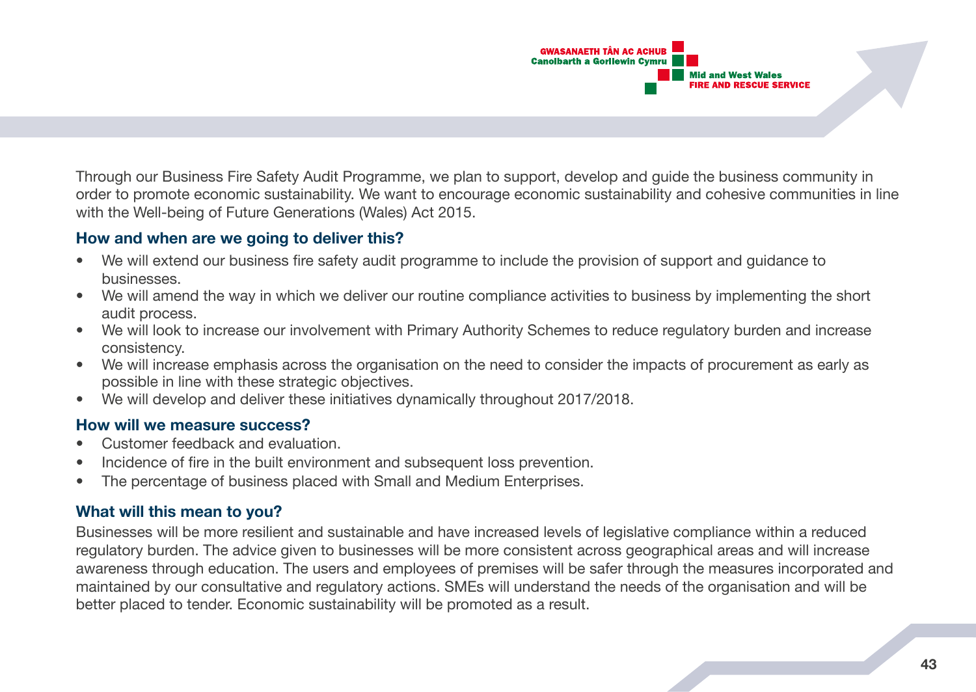

Through our Business Fire Safety Audit Programme, we plan to support, develop and guide the business community in order to promote economic sustainability. We want to encourage economic sustainability and cohesive communities in line with the Well-being of Future Generations (Wales) Act 2015.

## **How and when are we going to deliver this?**

- We will extend our business fire safety audit programme to include the provision of support and guidance to businesses.
- We will amend the way in which we deliver our routine compliance activities to business by implementing the short audit process.
- We will look to increase our involvement with Primary Authority Schemes to reduce regulatory burden and increase consistency.
- We will increase emphasis across the organisation on the need to consider the impacts of procurement as early as possible in line with these strategic objectives.
- We will develop and deliver these initiatives dynamically throughout 2017/2018.

#### **How will we measure success?**

- Customer feedback and evaluation.
- Incidence of fire in the built environment and subsequent loss prevention.
- The percentage of business placed with Small and Medium Enterprises.

# **What will this mean to you?**

Businesses will be more resilient and sustainable and have increased levels of legislative compliance within a reduced regulatory burden. The advice given to businesses will be more consistent across geographical areas and will increase awareness through education. The users and employees of premises will be safer through the measures incorporated and maintained by our consultative and regulatory actions. SMEs will understand the needs of the organisation and will be better placed to tender. Economic sustainability will be promoted as a result.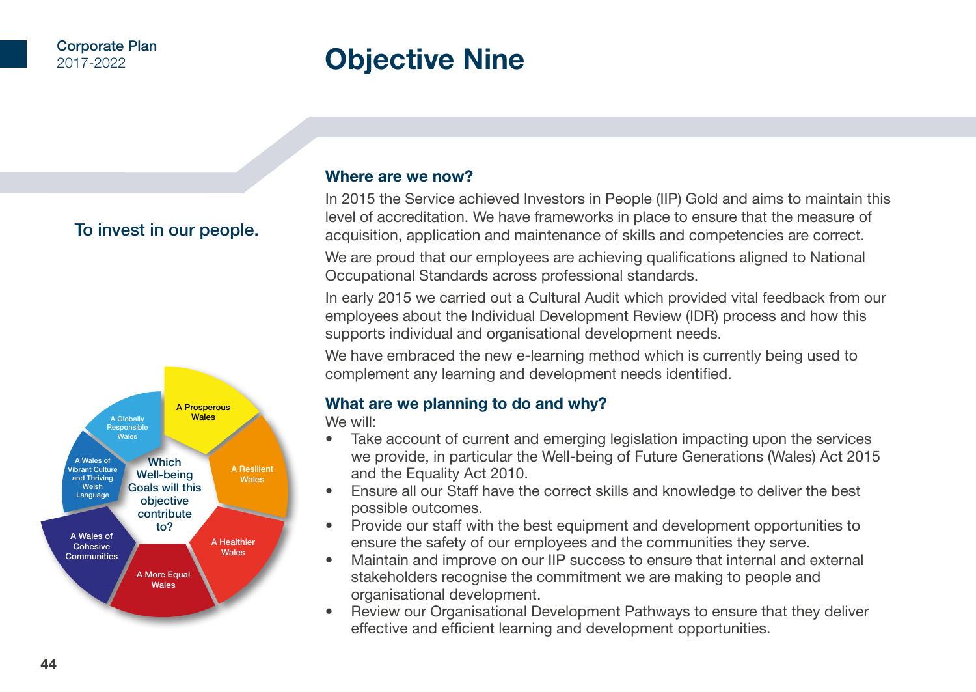# **Objective Nine**

# To invest in our people.



#### **Where are we now?**

In 2015 the Service achieved Investors in People (IIP) Gold and aims to maintain this level of accreditation. We have frameworks in place to ensure that the measure of acquisition, application and maintenance of skills and competencies are correct.

We are proud that our employees are achieving qualifications aligned to National Occupational Standards across professional standards.

In early 2015 we carried out a Cultural Audit which provided vital feedback from our employees about the Individual Development Review (IDR) process and how this supports individual and organisational development needs.

We have embraced the new e-learning method which is currently being used to complement any learning and development needs identified.

# **What are we planning to do and why?**

We will:

- Take account of current and emerging legislation impacting upon the services we provide, in particular the Well-being of Future Generations (Wales) Act 2015 and the Equality Act 2010.
- Ensure all our Staff have the correct skills and knowledge to deliver the best possible outcomes.
- Provide our staff with the best equipment and development opportunities to ensure the safety of our employees and the communities they serve.
- Maintain and improve on our IIP success to ensure that internal and external stakeholders recognise the commitment we are making to people and organisational development.
- Review our Organisational Development Pathways to ensure that they deliver effective and efficient learning and development opportunities.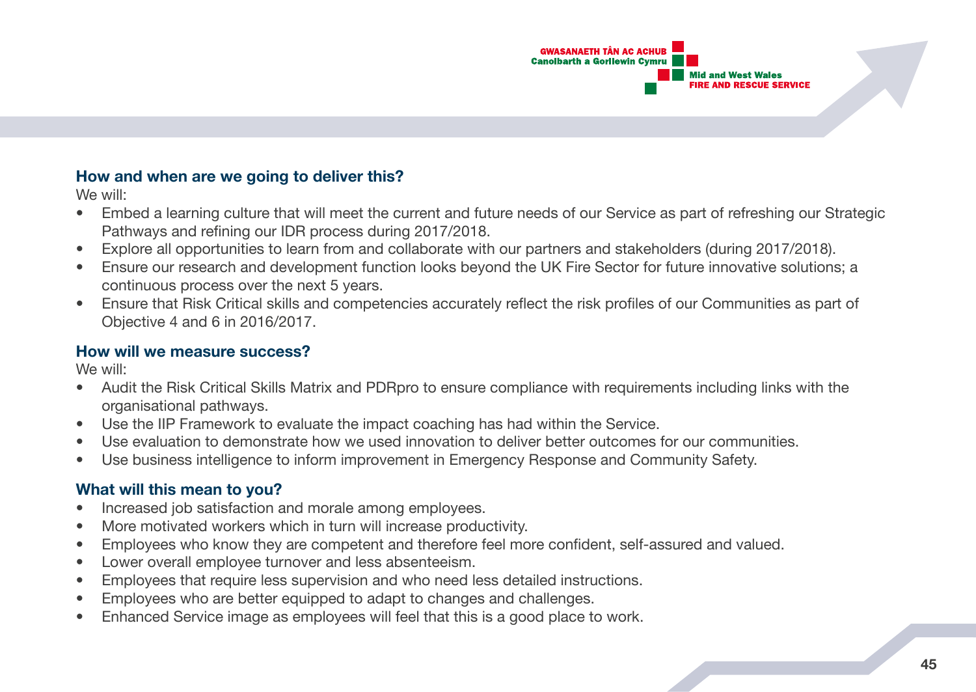

## **How and when are we going to deliver this?**

We will:

- Embed a learning culture that will meet the current and future needs of our Service as part of refreshing our Strategic Pathways and refining our IDR process during 2017/2018.
- Explore all opportunities to learn from and collaborate with our partners and stakeholders (during 2017/2018).
- Ensure our research and development function looks beyond the UK Fire Sector for future innovative solutions; a continuous process over the next 5 years.
- Ensure that Risk Critical skills and competencies accurately reflect the risk profiles of our Communities as part of Objective 4 and 6 in 2016/2017.

## **How will we measure success?**

We will:

- Audit the Risk Critical Skills Matrix and PDRpro to ensure compliance with requirements including links with the organisational pathways.
- Use the IIP Framework to evaluate the impact coaching has had within the Service.
- Use evaluation to demonstrate how we used innovation to deliver better outcomes for our communities.
- Use business intelligence to inform improvement in Emergency Response and Community Safety.

# **What will this mean to you?**

- Increased job satisfaction and morale among employees.
- More motivated workers which in turn will increase productivity.
- Employees who know they are competent and therefore feel more confident, self-assured and valued.
- Lower overall employee turnover and less absenteeism.
- Employees that require less supervision and who need less detailed instructions.
- Employees who are better equipped to adapt to changes and challenges.
- Enhanced Service image as employees will feel that this is a good place to work.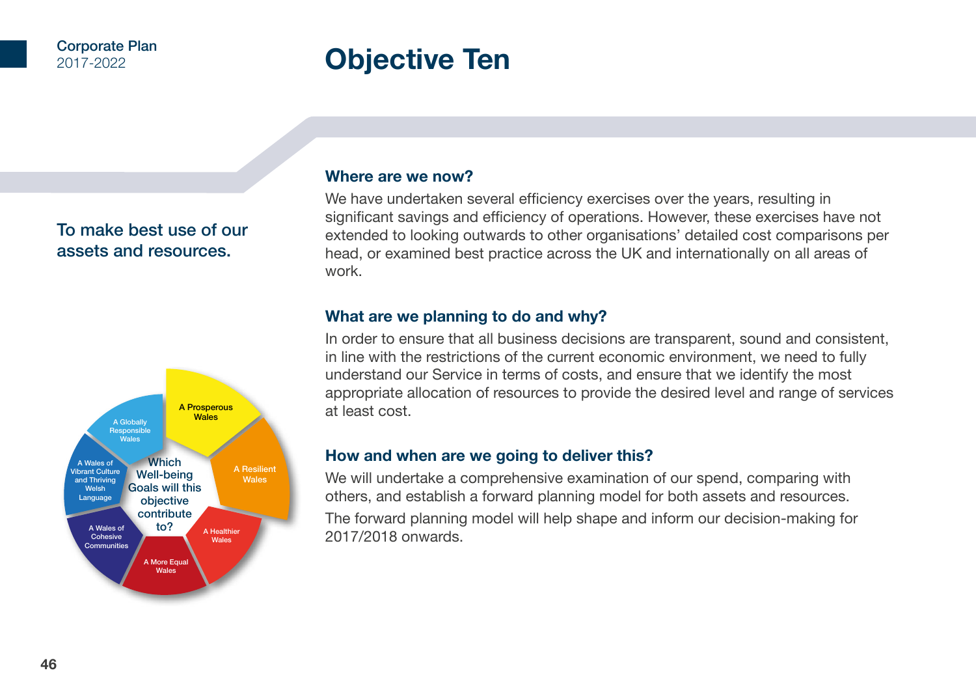# **Objective Ten**

# To make best use of our assets and resources.



#### **Where are we now?**

We have undertaken several efficiency exercises over the years, resulting in significant savings and efficiency of operations. However, these exercises have not extended to looking outwards to other organisations' detailed cost comparisons per head, or examined best practice across the UK and internationally on all areas of work.

## **What are we planning to do and why?**

In order to ensure that all business decisions are transparent, sound and consistent, in line with the restrictions of the current economic environment, we need to fully understand our Service in terms of costs, and ensure that we identify the most appropriate allocation of resources to provide the desired level and range of services at least cost.

## **How and when are we going to deliver this?**

We will undertake a comprehensive examination of our spend, comparing with others, and establish a forward planning model for both assets and resources.

The forward planning model will help shape and inform our decision-making for 2017/2018 onwards.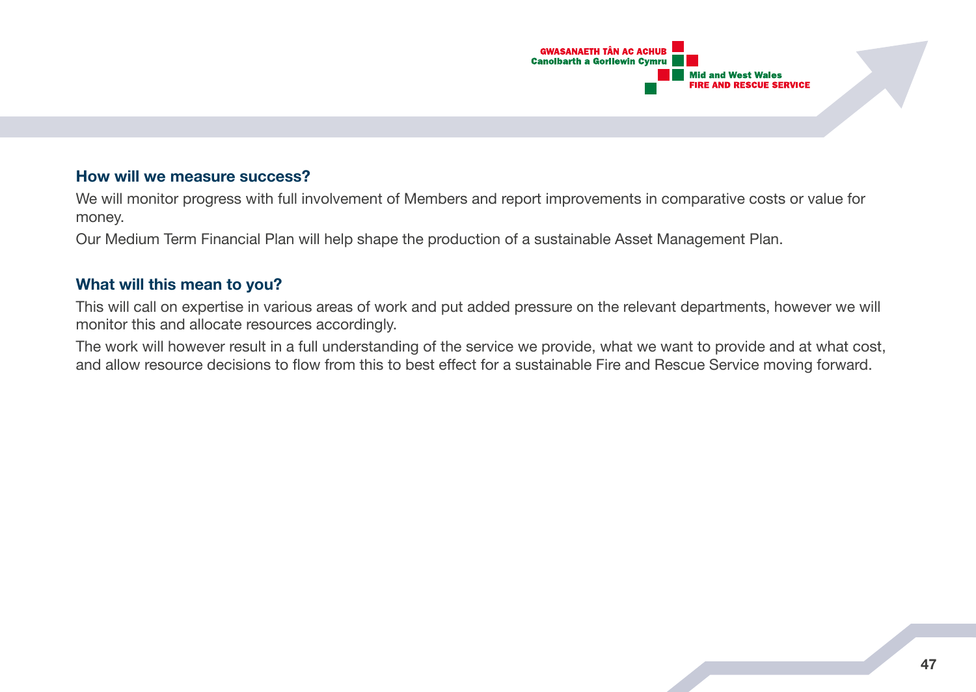

## **How will we measure success?**

We will monitor progress with full involvement of Members and report improvements in comparative costs or value for money.

Our Medium Term Financial Plan will help shape the production of a sustainable Asset Management Plan.

#### **What will this mean to you?**

This will call on expertise in various areas of work and put added pressure on the relevant departments, however we will monitor this and allocate resources accordingly.

The work will however result in a full understanding of the service we provide, what we want to provide and at what cost, and allow resource decisions to flow from this to best effect for a sustainable Fire and Rescue Service moving forward.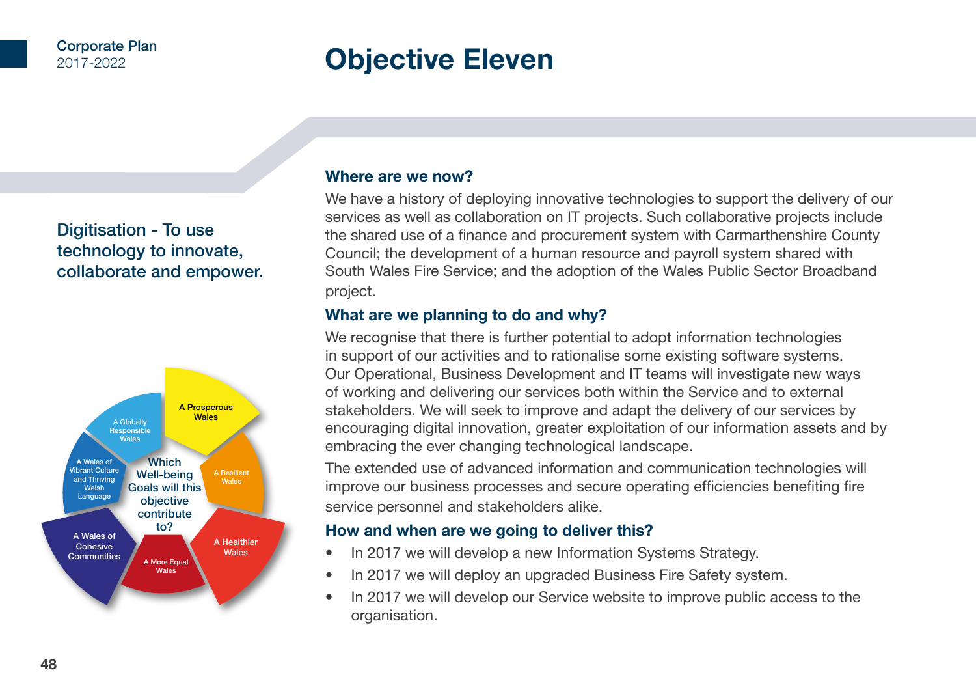# **Objective Eleven**

# Digitisation - To use technology to innovate, collaborate and empower.



#### **Where are we now?**

We have a history of deploying innovative technologies to support the delivery of our services as well as collaboration on IT projects. Such collaborative projects include the shared use of a finance and procurement system with Carmarthenshire County Council; the development of a human resource and payroll system shared with South Wales Fire Service; and the adoption of the Wales Public Sector Broadband project.

## **What are we planning to do and why?**

We recognise that there is further potential to adopt information technologies in support of our activities and to rationalise some existing software systems. Our Operational, Business Development and IT teams will investigate new ways of working and delivering our services both within the Service and to external stakeholders. We will seek to improve and adapt the delivery of our services by encouraging digital innovation, greater exploitation of our information assets and by embracing the ever changing technological landscape.

The extended use of advanced information and communication technologies will improve our business processes and secure operating efficiencies benefiting fire service personnel and stakeholders alike.

## **How and when are we going to deliver this?**

- In 2017 we will develop a new Information Systems Strategy.
- In 2017 we will deploy an upgraded Business Fire Safety system.
- In 2017 we will develop our Service website to improve public access to the organisation.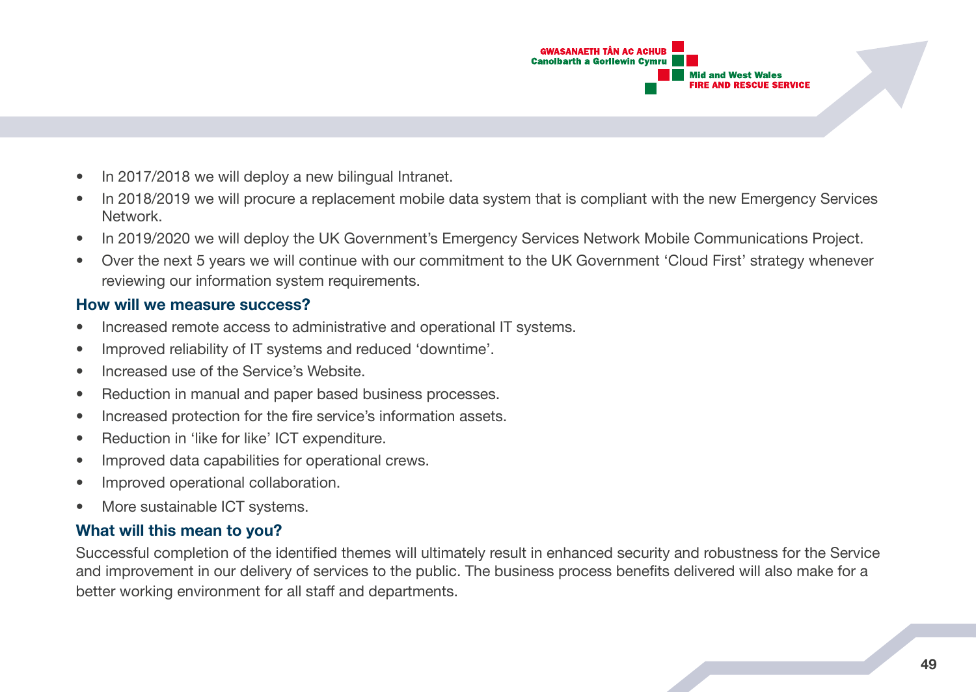

- In 2017/2018 we will deploy a new bilingual Intranet.
- In 2018/2019 we will procure a replacement mobile data system that is compliant with the new Emergency Services Network.
- In 2019/2020 we will deploy the UK Government's Emergency Services Network Mobile Communications Project.
- Over the next 5 years we will continue with our commitment to the UK Government 'Cloud First' strategy whenever reviewing our information system requirements.

#### **How will we measure success?**

- Increased remote access to administrative and operational IT systems.
- Improved reliability of IT systems and reduced 'downtime'.
- Increased use of the Service's Website.
- Reduction in manual and paper based business processes.
- Increased protection for the fire service's information assets.
- Reduction in 'like for like' ICT expenditure.
- Improved data capabilities for operational crews.
- Improved operational collaboration.
- More sustainable ICT systems.

## **What will this mean to you?**

Successful completion of the identified themes will ultimately result in enhanced security and robustness for the Service and improvement in our delivery of services to the public. The business process benefits delivered will also make for a better working environment for all staff and departments.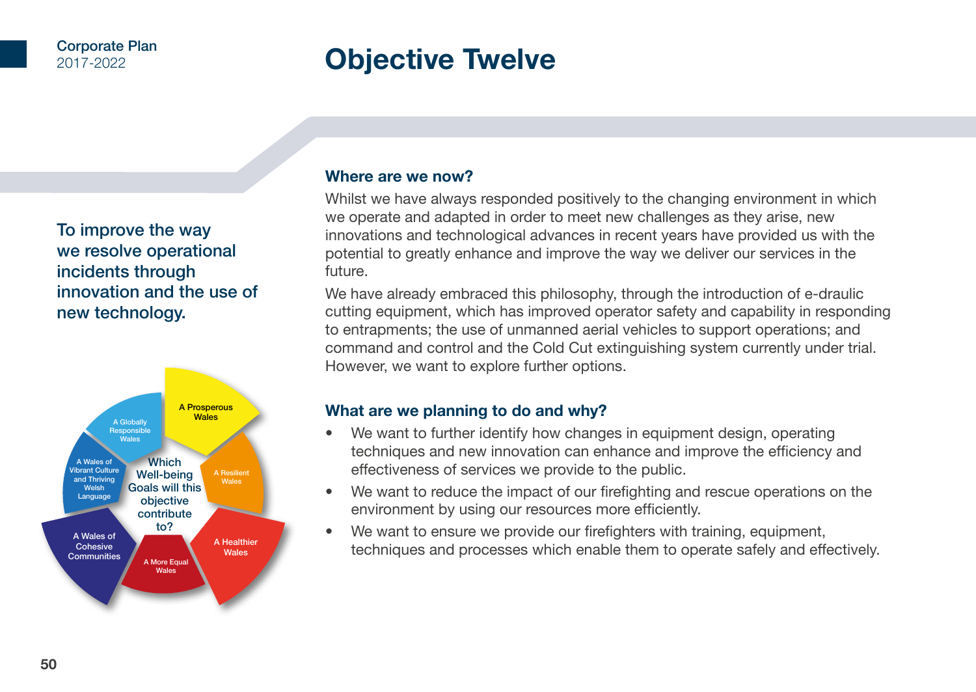# **Objective Twelve**

To improve the way we resolve operational incidents through innovation and the use of new technology.



#### **Where are we now?**

Whilst we have always responded positively to the changing environment in which we operate and adapted in order to meet new challenges as they arise, new innovations and technological advances in recent years have provided us with the potential to greatly enhance and improve the way we deliver our services in the future.

We have already embraced this philosophy, through the introduction of e-draulic cutting equipment, which has improved operator safety and capability in responding to entrapments; the use of unmanned aerial vehicles to support operations; and command and control and the Cold Cut extinguishing system currently under trial. However, we want to explore further options.

## **What are we planning to do and why?**

- We want to further identify how changes in equipment design, operating techniques and new innovation can enhance and improve the efficiency and effectiveness of services we provide to the public.
- We want to reduce the impact of our firefighting and rescue operations on the environment by using our resources more efficiently.
- We want to ensure we provide our firefighters with training, equipment, techniques and processes which enable them to operate safely and effectively.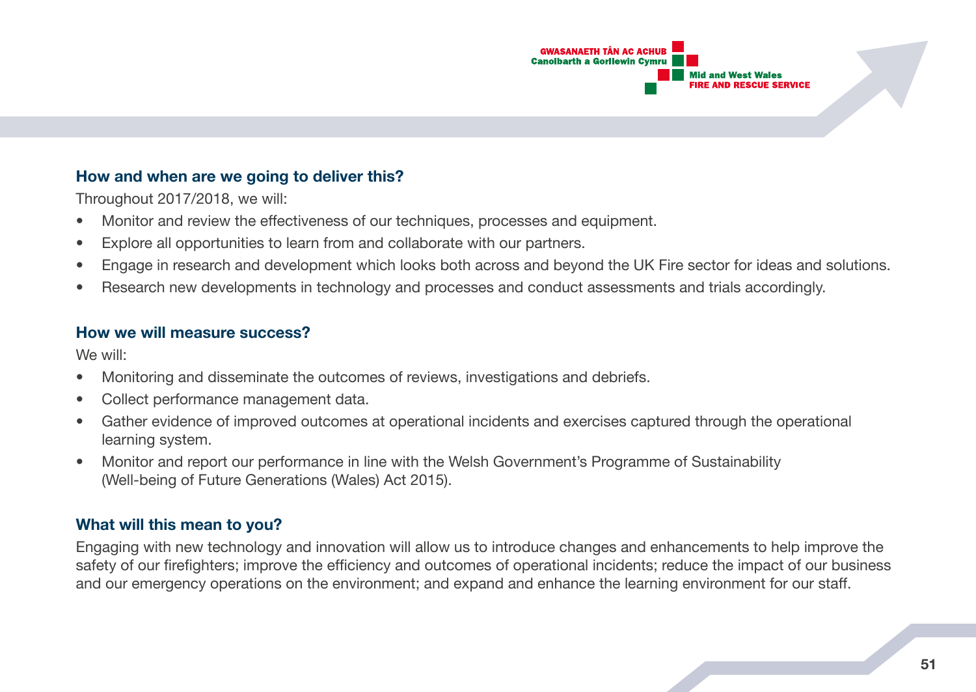

## **How and when are we going to deliver this?**

Throughout 2017/2018, we will:

- Monitor and review the effectiveness of our techniques, processes and equipment.
- Explore all opportunities to learn from and collaborate with our partners.
- Engage in research and development which looks both across and beyond the UK Fire sector for ideas and solutions.
- Research new developments in technology and processes and conduct assessments and trials accordingly.

## **How we will measure success?**

We will:

- Monitoring and disseminate the outcomes of reviews, investigations and debriefs.
- Collect performance management data.
- Gather evidence of improved outcomes at operational incidents and exercises captured through the operational learning system.
- Monitor and report our performance in line with the Welsh Government's Programme of Sustainability (Well-being of Future Generations (Wales) Act 2015).

# **What will this mean to you?**

Engaging with new technology and innovation will allow us to introduce changes and enhancements to help improve the safety of our firefighters; improve the efficiency and outcomes of operational incidents; reduce the impact of our business and our emergency operations on the environment; and expand and enhance the learning environment for our staff.